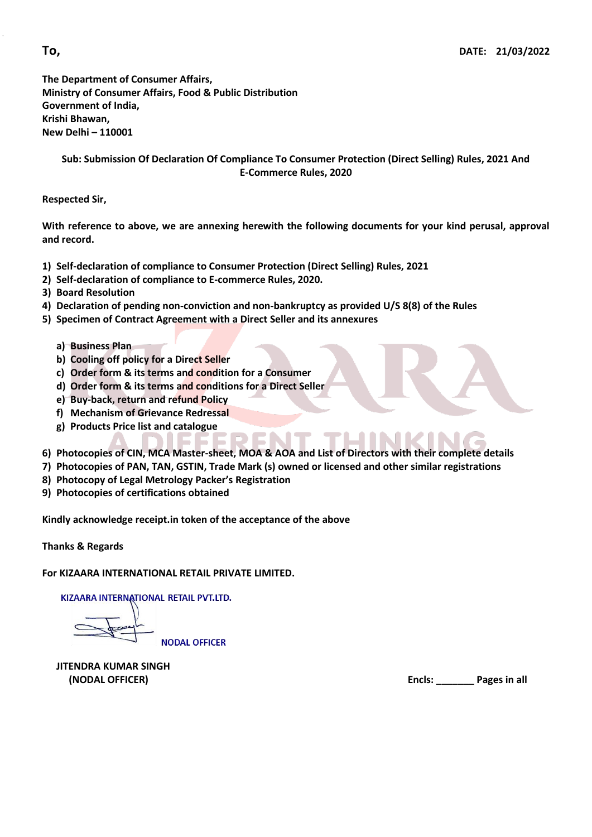**The Department of Consumer Affairs, Ministry of Consumer Affairs, Food & Public Distribution Government of India, Krishi Bhawan, New Delhi – 110001**

**Sub: Submission Of Declaration Of Compliance To Consumer Protection (Direct Selling) Rules, 2021 And E-Commerce Rules, 2020**

**Respected Sir,**

**With reference to above, we are annexing herewith the following documents for your kind perusal, approval and record.** 

- **1) Self-declaration of compliance to Consumer Protection (Direct Selling) Rules, 2021**
- **2) Self-declaration of compliance to E-commerce Rules, 2020.**
- **3) Board Resolution**
- **4) Declaration of pending non-conviction and non-bankruptcy as provided U/S 8(8) of the Rules**
- **5) Specimen of Contract Agreement with a Direct Seller and its annexures**
	- **a) Business Plan**
	- **b) Cooling off policy for a Direct Seller**
	- **c) Order form & its terms and condition for a Consumer**
	- **d) Order form & its terms and conditions for a Direct Seller**
	- **e) Buy-back, return and refund Policy**
	- **f) Mechanism of Grievance Redressal**
	- **g) Products Price list and catalogue**
- **6) Photocopies of CIN, MCA Master-sheet, MOA & AOA and List of Directors with their complete details**
- **7) Photocopies of PAN, TAN, GSTIN, Trade Mark (s) owned or licensed and other similar registrations**
- **8) Photocopy of Legal Metrology Packer's Registration**
- **9) Photocopies of certifications obtained**

**Kindly acknowledge receipt.in token of the acceptance of the above**

**Thanks & Regards**

**For KIZAARA INTERNATIONAL RETAIL PRIVATE LIMITED.**

KIZAARA INTERNATIONAL RETAIL PVT.LTD.

**NODAL OFFICER** 

**JITENDRA KUMAR SINGH**

 **(NODAL OFFICER) Encls: \_\_\_\_\_\_\_ Pages in all**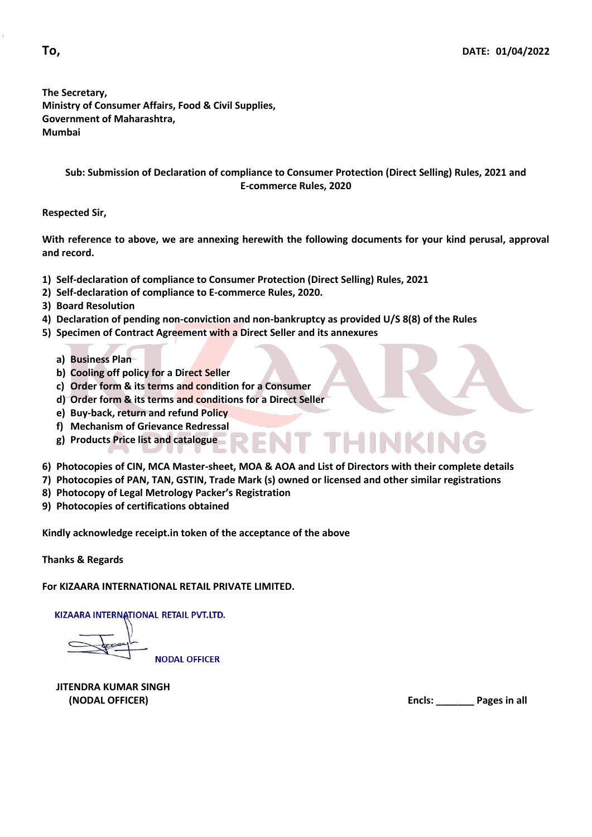**The Secretary, Ministry of Consumer Affairs, Food & Civil Supplies, Government of Maharashtra, Mumbai**

> **Sub: Submission of Declaration of compliance to Consumer Protection (Direct Selling) Rules, 2021 and E-commerce Rules, 2020**

**Respected Sir,**

**With reference to above, we are annexing herewith the following documents for your kind perusal, approval and record.** 

- **1) Self-declaration of compliance to Consumer Protection (Direct Selling) Rules, 2021**
- **2) Self-declaration of compliance to E-commerce Rules, 2020.**
- **3) Board Resolution**
- **4) Declaration of pending non-conviction and non-bankruptcy as provided U/S 8(8) of the Rules**
- **5) Specimen of Contract Agreement with a Direct Seller and its annexures**
	- **a) Business Plan**
	- **b) Cooling off policy for a Direct Seller**
	- **c) Order form & its terms and condition for a Consumer**
	- **d) Order form & its terms and conditions for a Direct Seller**
	- **e) Buy-back, return and refund Policy**
	- **f) Mechanism of Grievance Redressal**
	- **g) Products Price list and catalogue**
- **6) Photocopies of CIN, MCA Master-sheet, MOA & AOA and List of Directors with their complete details**

T THINKING

- **7) Photocopies of PAN, TAN, GSTIN, Trade Mark (s) owned or licensed and other similar registrations**
- **8) Photocopy of Legal Metrology Packer's Registration**

**9) Photocopies of certifications obtained**

**Kindly acknowledge receipt.in token of the acceptance of the above**

**Thanks & Regards**

**For KIZAARA INTERNATIONAL RETAIL PRIVATE LIMITED.**

KIZAARA INTERNATIONAL RETAIL PVT.LTD.

**NODAL OFFICER** 

**JITENDRA KUMAR SINGH**

 **(NODAL OFFICER) Encls: \_\_\_\_\_\_\_ Pages in all**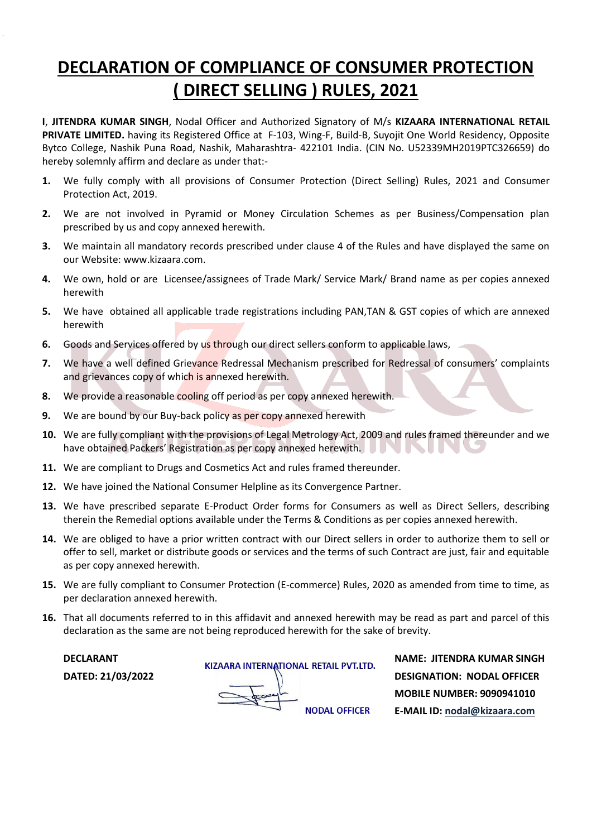## **DECLARATION OF COMPLIANCE OF CONSUMER PROTECTION ( DIRECT SELLING ) RULES, 2021**

**I**, **JITENDRA KUMAR SINGH**, Nodal Officer and Authorized Signatory of M/s **KIZAARA INTERNATIONAL RETAIL PRIVATE LIMITED.** having its Registered Office at F-103, Wing-F, Build-B, Suyojit One World Residency, Opposite Bytco College, Nashik Puna Road, Nashik, Maharashtra- 422101 India. (CIN No. U52339MH2019PTC326659) do hereby solemnly affirm and declare as under that:-

- **1.** We fully comply with all provisions of Consumer Protection (Direct Selling) Rules, 2021 and Consumer Protection Act, 2019.
- **2.** We are not involved in Pyramid or Money Circulation Schemes as per Business/Compensation plan prescribed by us and copy annexed herewith.
- **3.** We maintain all mandatory records prescribed under clause 4 of the Rules and have displayed the same on our Website: [www.kizaara.com.](http://www.kizaara.com/)
- **4.** We own, hold or are Licensee/assignees of Trade Mark/ Service Mark/ Brand name as per copies annexed herewith
- **5.** We have obtained all applicable trade registrations including PAN,TAN & GST copies of which are annexed herewith
- **6.** Goods and Services offered by us through our direct sellers conform to applicable laws,
- **7.** We have a well defined Grievance Redressal Mechanism prescribed for Redressal of consumers' complaints and grievances copy of which is annexed herewith.
- **8.** We provide a reasonable cooling off period as per copy annexed herewith.
- **9.** We are bound by our Buy-back policy as per copy annexed herewith
- **10.** We are fully compliant with the provisions of Legal Metrology Act, 2009 and rules framed thereunder and we have obtained Packers' Registration as per copy annexed herewith.  $\sim$  11
- **11.** We are compliant to Drugs and Cosmetics Act and rules framed thereunder.
- **12.** We have joined the National Consumer Helpline as its Convergence Partner.
- **13.** We have prescribed separate E-Product Order forms for Consumers as well as Direct Sellers, describing therein the Remedial options available under the Terms & Conditions as per copies annexed herewith.
- **14.** We are obliged to have a prior written contract with our Direct sellers in order to authorize them to sell or offer to sell, market or distribute goods or services and the terms of such Contract are just, fair and equitable as per copy annexed herewith.
- **15.** We are fully compliant to Consumer Protection (E-commerce) Rules, 2020 as amended from time to time, as per declaration annexed herewith.
- **16.** That all documents referred to in this affidavit and annexed herewith may be read as part and parcel of this declaration as the same are not being reproduced herewith for the sake of brevity.

**DECLARANT KIZAARA INTERNATIONAL RETAIL PVT.LTD.** NAME: JITENDRA KUMAR SINGH **DATED: 21/03/2022**<br> **DESIGNATION: NODAL OFFICER**<br>
MOBILE NUMBER: 9090941010  **MOBILE NUMBER: 9090941010 E-MAIL ID[: nodal@kizaara.com](mailto:nodal@kizaara.com)**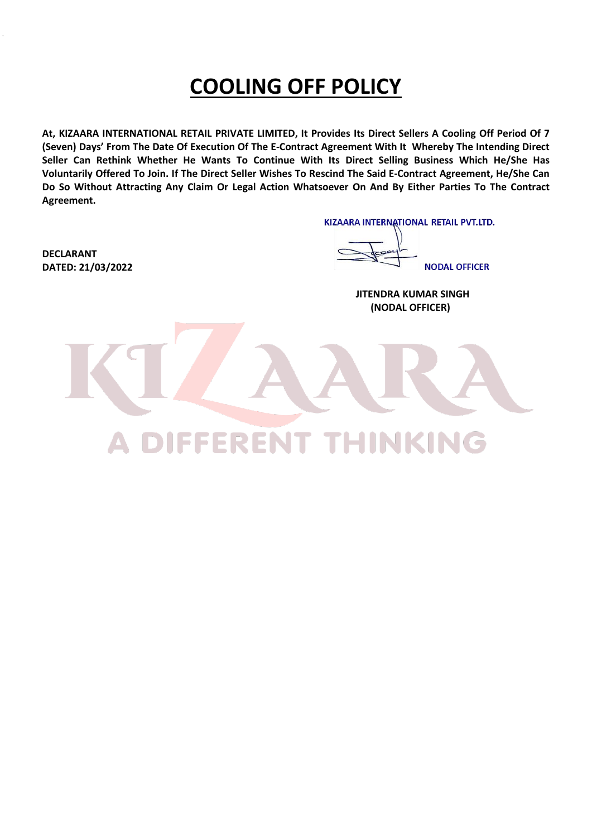## **COOLING OFF POLICY**

At, KIZAARA INTERNATIONAL RETAIL PRIVATE LIMITED, It Provides Its Direct Sellers A Cooling Off Period Of 7 **(Seven) Days' From The Date Of Execution Of The E-Contract Agreement With It Whereby The Intending Direct Seller Can Rethink Whether He Wants To Continue With Its Direct Selling Business Which He/She Has** Voluntarily Offered To Join. If The Direct Seller Wishes To Rescind The Said E-Contract Agreement, He/She Can Do So Without Attracting Any Claim Or Legal Action Whatsoever On And By Either Parties To The Contract **Agreement.** 

KIZAARA INTERNATIONAL RETAIL PVT.LTD.

**NODAL OFFICER** 

 **JITENDRA KUMAR SINGH (NODAL OFFICER)** 

**DECLARANT DATED: 21/03/2022**

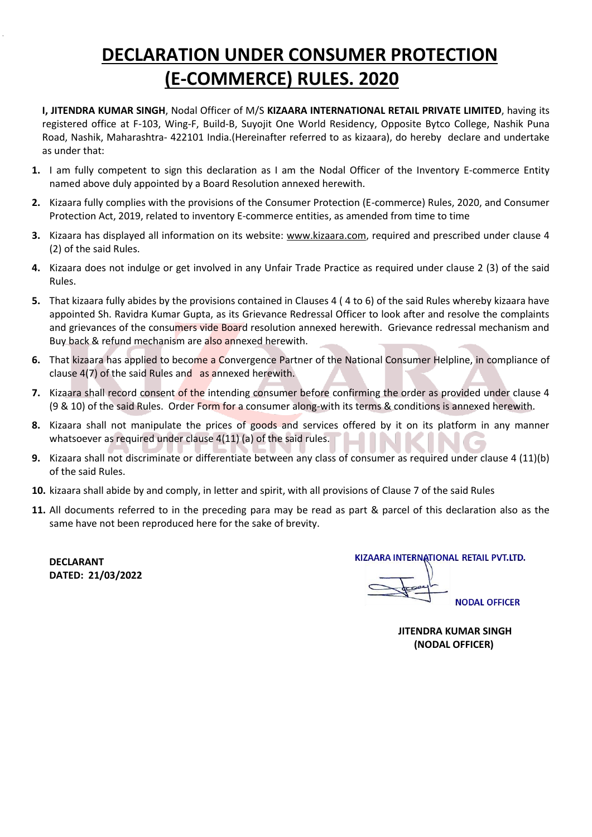## **DECLARATION UNDER CONSUMER PROTECTION (E-COMMERCE) RULES. 2020**

- **I, JITENDRA KUMAR SINGH**, Nodal Officer of M/S **KIZAARA INTERNATIONAL RETAIL PRIVATE LIMITED**, having its registered office at F-103, Wing-F, Build-B, Suyojit One World Residency, Opposite Bytco College, Nashik Puna Road, Nashik, Maharashtra- 422101 India.(Hereinafter referred to as kizaara), do hereby declare and undertake as under that:
- **1.** I am fully competent to sign this declaration as I am the Nodal Officer of the Inventory E-commerce Entity named above duly appointed by a Board Resolution annexed herewith.
- **2.** Kizaara fully complies with the provisions of the Consumer Protection (E-commerce) Rules, 2020, and Consumer Protection Act, 2019, related to inventory E-commerce entities, as amended from time to time
- **3.** Kizaara has displayed all information on its website: www.kizaara.com, required and prescribed under clause 4 (2) of the said Rules.
- **4.** Kizaara does not indulge or get involved in any Unfair Trade Practice as required under clause 2 (3) of the said Rules.
- **5.** That kizaara fully abides by the provisions contained in Clauses 4 ( 4 to 6) of the said Rules whereby kizaara have appointed Sh. Ravidra Kumar Gupta, as its Grievance Redressal Officer to look after and resolve the complaints and grievances of the consumers vide Board resolution annexed herewith. Grievance redressal mechanism and Buy back & refund mechanism are also annexed herewith.
- **6.** That kizaara has applied to become a Convergence Partner of the National Consumer Helpline, in compliance of clause 4(7) of the said Rules and as annexed herewith.
- **7.** Kizaara shall record consent of the intending consumer before confirming the order as provided under clause 4 (9 & 10) of the said Rules. Order Form for a consumer along-with its terms & conditions is annexed herewith.
- **8.** Kizaara shall not manipulate the prices of goods and services offered by it on its platform in any manner whatsoever as required under clause 4(11) (a) of the said rules.
- **9.** Kizaara shall not discriminate or differentiate between any class of consumer as required under clause 4 (11)(b) of the said Rules.
- **10.** kizaara shall abide by and comply, in letter and spirit, with all provisions of Clause 7 of the said Rules
- **11.** All documents referred to in the preceding para may be read as part & parcel of this declaration also as the same have not been reproduced here for the sake of brevity.

**DECLARANT DATED: 21/03/2022**  KIZAARA INTERNATIONAL RETAIL PVT.LTD.

**NODAL OFFICER** 

 **JITENDRA KUMAR SINGH (NODAL OFFICER)**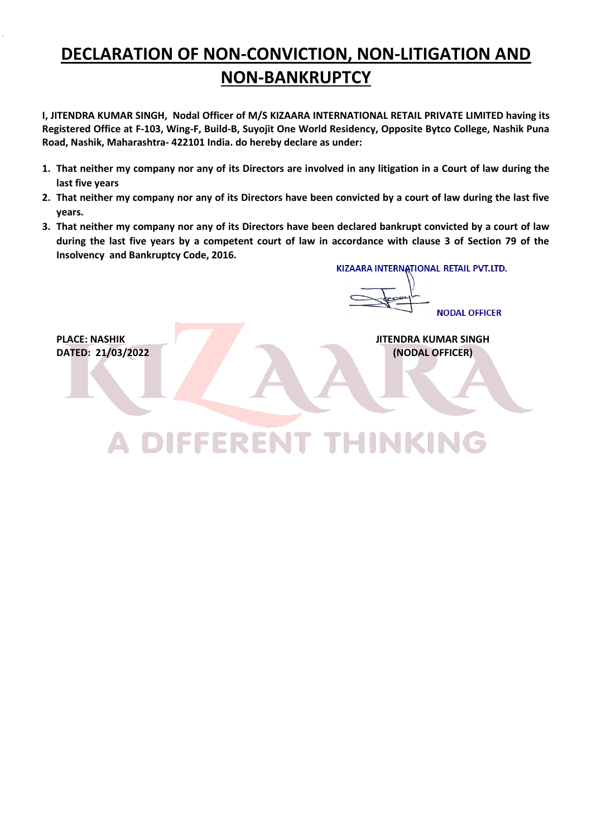## **DECLARATION OF NON-CONVICTION, NON-LITIGATION AND NON-BANKRUPTCY**

**I, JITENDRA KUMAR SINGH, Nodal Officer of M/S KIZAARA INTERNATIONAL RETAIL PRIVATE LIMITED having its Registered Office at F-103, Wing-F, Build-B, Suyojit One World Residency, Opposite Bytco College, Nashik Puna Road, Nashik, Maharashtra- 422101 India. do hereby declare as under:**

- **1. That neither my company nor any of its Directors are involved in any litigation in a Court of law during the last five years**
- **2. That neither my company nor any of its Directors have been convicted by a court of law during the last five years.**
- **3. That neither my company nor any of its Directors have been declared bankrupt convicted by a court of law during the last five years by a competent court of law in accordance with clause 3 of Section 79 of the Insolvency and Bankruptcy Code, 2016.**

A DIFFERENT THINKING

KIZAARA INTERNATIONAL RETAIL PVT.LTD.

NODAL OFFICER

**PLACE: NASHIK JITENDRA KUMAR SINGH DATED: 21/03/2022 (NODAL OFFICER)**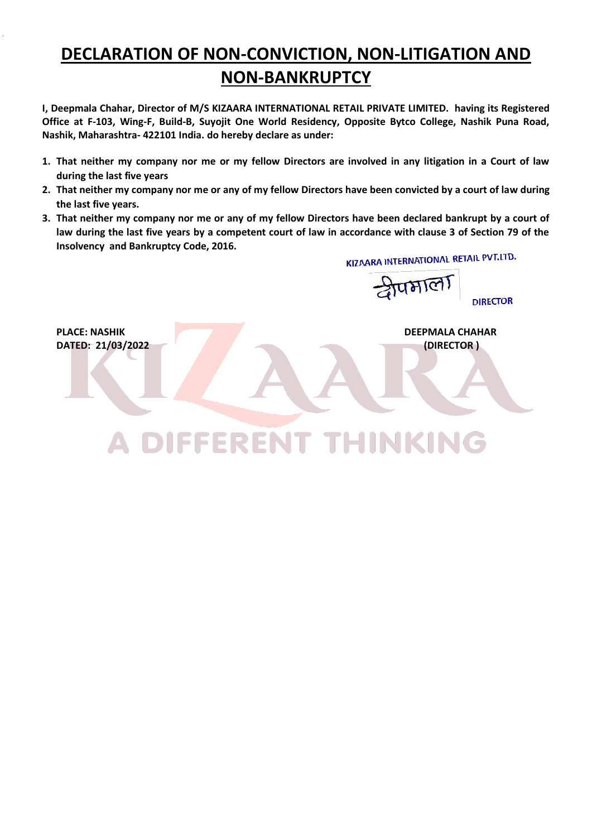## **DECLARATION OF NON-CONVICTION, NON-LITIGATION AND NON-BANKRUPTCY**

**I, Deepmala Chahar, Director of M/S KIZAARA INTERNATIONAL RETAIL PRIVATE LIMITED. having its Registered Office at F-103, Wing-F, Build-B, Suyojit One World Residency, Opposite Bytco College, Nashik Puna Road, Nashik, Maharashtra- 422101 India. do hereby declare as under:**

- **1. That neither my company nor me or my fellow Directors are involved in any litigation in a Court of law during the last five years**
- **2. That neither my company nor me or any of my fellow Directors have been convicted by a court of law during the last five years.**
- **3. That neither my company nor me or any of my fellow Directors have been declared bankrupt by a court of law during the last five years by a competent court of law in accordance with clause 3 of Section 79 of the Insolvency and Bankruptcy Code, 2016.**  KIZAARA INTERNATIONAL RETAIL PVT.LTD.

श्रीप्रभाला **DIRECTOR PLACE: NASHIK DEEPMALA CHAHAR DATED: 21/03/2022 (DIRECTOR )**A DIFFERENT THINKING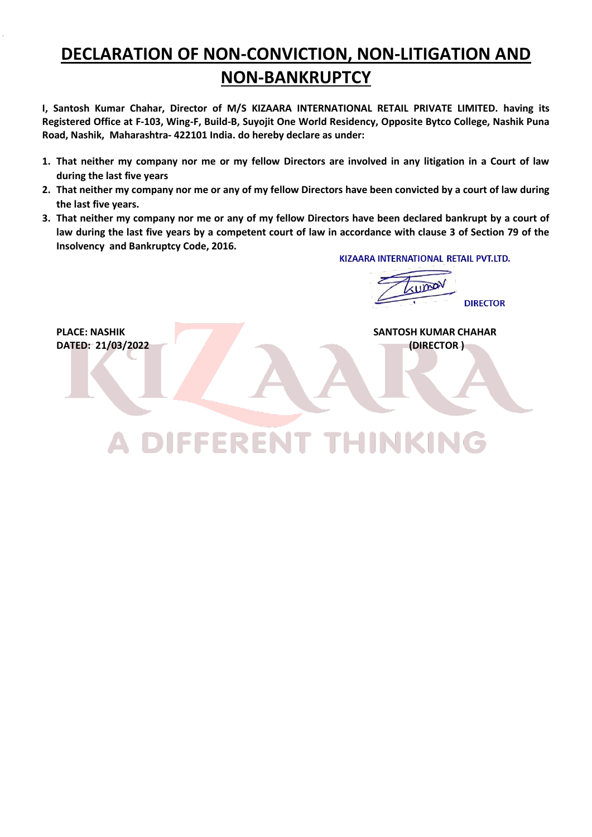## **DECLARATION OF NON-CONVICTION, NON-LITIGATION AND NON-BANKRUPTCY**

**I, Santosh Kumar Chahar, Director of M/S KIZAARA INTERNATIONAL RETAIL PRIVATE LIMITED. having its Registered Office at F-103, Wing-F, Build-B, Suyojit One World Residency, Opposite Bytco College, Nashik Puna Road, Nashik, Maharashtra- 422101 India. do hereby declare as under:**

- **1. That neither my company nor me or my fellow Directors are involved in any litigation in a Court of law during the last five years**
- **2. That neither my company nor me or any of my fellow Directors have been convicted by a court of law during the last five years.**
- **3. That neither my company nor me or any of my fellow Directors have been declared bankrupt by a court of law during the last five years by a competent court of law in accordance with clause 3 of Section 79 of the Insolvency and Bankruptcy Code, 2016.**

A DIFFERENT THINKING

KIZAARA INTERNATIONAL RETAIL PVT.ITD.

**UMOV DIRECTOR** 

**PLACE: NASHIK SANTOSH KUMAR CHAHAR DATED: 21/03/2022 (DIRECTOR )** (DIRECTOR )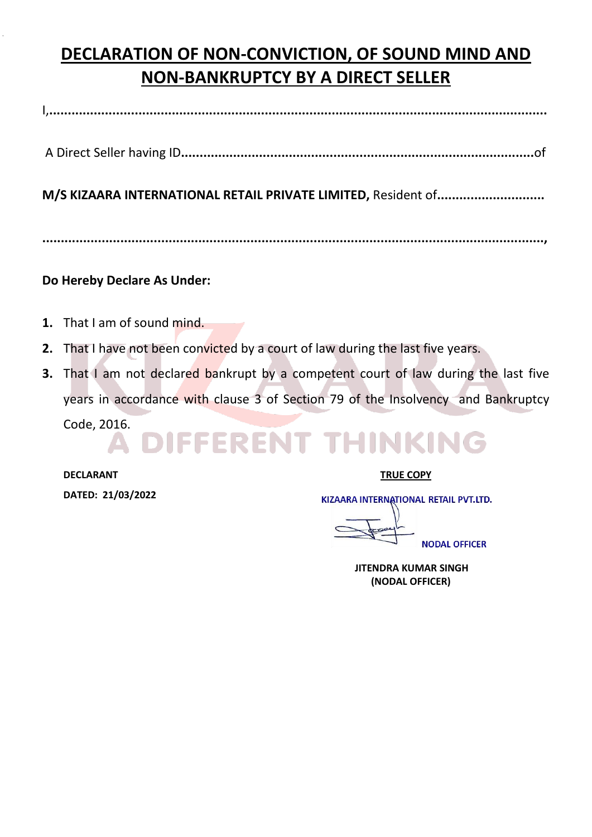## **DECLARATION OF NON-CONVICTION, OF SOUND MIND AND NON-BANKRUPTCY BY A DIRECT SELLER**

I,**......................................................................................................................................**

A Direct Seller having ID**...............................................................................................**of

**M/S KIZAARA INTERNATIONAL RETAIL PRIVATE LIMITED,** Resident of**.............................**

**.......................................................................................................................................,**

### **Do Hereby Declare As Under:**

- **1.** That I am of sound mind.
- **2.** That I have not been convicted by a court of law during the last five years.
- **3.** That I am not declared bankrupt by a competent court of law during the last five years in accordance with clause 3 of Section 79 of the Insolvency and Bankruptcy Code, 2016.

### DIFFERENT THINKING A.

**DECLARANT TRUE COPY DATED: 21/03/2022** 

KIZAARA INTERNATIONAL RETAIL PVT.LTD.

**NODAL OFFICER** 

 **JITENDRA KUMAR SINGH (NODAL OFFICER)**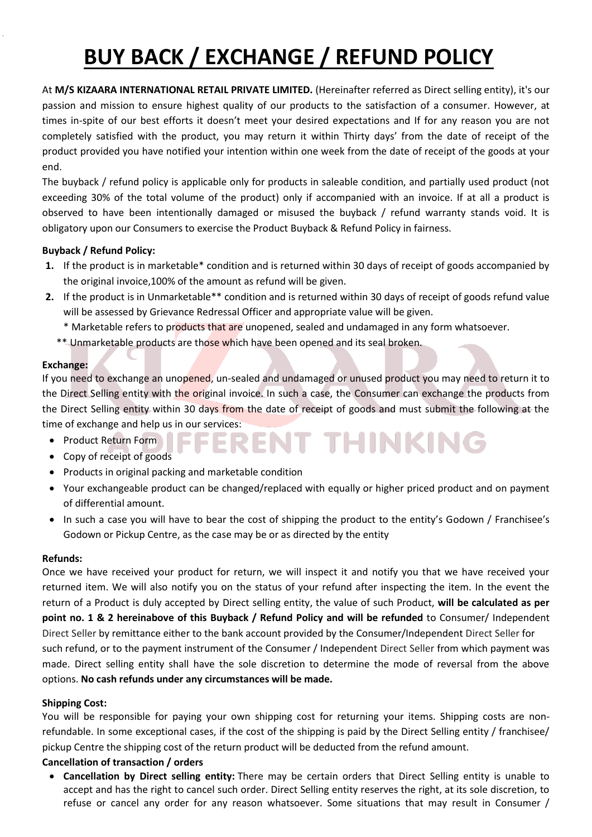# **BUY BACK / EXCHANGE / REFUND POLICY**

At **M/S KIZAARA INTERNATIONAL RETAIL PRIVATE LIMITED.** (Hereinafter referred as Direct selling entity), it's our passion and mission to ensure highest quality of our products to the satisfaction of a consumer. However, at times in-spite of our best efforts it doesn't meet your desired expectations and If for any reason you are not completely satisfied with the product, you may return it within Thirty days' from the date of receipt of the product provided you have notified your intention within one week from the date of receipt of the goods at your end.

The buyback / refund policy is applicable only for products in saleable condition, and partially used product (not exceeding 30% of the total volume of the product) only if accompanied with an invoice. If at all a product is observed to have been intentionally damaged or misused the buyback / refund warranty stands void. It is obligatory upon our Consumers to exercise the Product Buyback & Refund Policy in fairness.

### **Buyback / Refund Policy:**

- **1.** If the product is in marketable\* condition and is returned within 30 days of receipt of goods accompanied by the original invoice,100% of the amount as refund will be given.
- **2.** If the product is in Unmarketable\*\* condition and is returned within 30 days of receipt of goods refund value will be assessed by Grievance Redressal Officer and appropriate value will be given.
	- \* Marketable refers to products that are unopened, sealed and undamaged in any form whatsoever.
	- \*\* Unmarketable products are those which have been opened and its seal broken.

### **Exchange:**

If you need to exchange an unopened, un-sealed and undamaged or unused product you may need to return it to the Direct Selling entity with the original invoice. In such a case, the Consumer can exchange the products from the Direct Selling entity within 30 days from the date of receipt of goods and must submit the following at the time of exchange and help us in our services:

- Product Return Form
- Copy of receipt of goods
- Products in original packing and marketable condition
- Your exchangeable product can be changed/replaced with equally or higher priced product and on payment of differential amount.

RENT THINKING

• In such a case you will have to bear the cost of shipping the product to the entity's Godown / Franchisee's Godown or Pickup Centre, as the case may be or as directed by the entity

### **Refunds:**

Once we have received your product for return, we will inspect it and notify you that we have received your returned item. We will also notify you on the status of your refund after inspecting the item. In the event the return of a Product is duly accepted by Direct selling entity, the value of such Product, **will be calculated as per point no. 1 & 2 hereinabove of this Buyback / Refund Policy and will be refunded** to Consumer/ Independent Direct Seller by remittance either to the bank account provided by the Consumer/Independent Direct Seller for such refund, or to the payment instrument of the Consumer / Independent Direct Seller from which payment was made. Direct selling entity shall have the sole discretion to determine the mode of reversal from the above options. **No cash refunds under any circumstances will be made.**

### **Shipping Cost:**

You will be responsible for paying your own shipping cost for returning your items. Shipping costs are nonrefundable. In some exceptional cases, if the cost of the shipping is paid by the Direct Selling entity / franchisee/ pickup Centre the shipping cost of the return product will be deducted from the refund amount.

### **Cancellation of transaction / orders**

 **Cancellation by Direct selling entity:** There may be certain orders that Direct Selling entity is unable to accept and has the right to cancel such order. Direct Selling entity reserves the right, at its sole discretion, to refuse or cancel any order for any reason whatsoever. Some situations that may result in Consumer /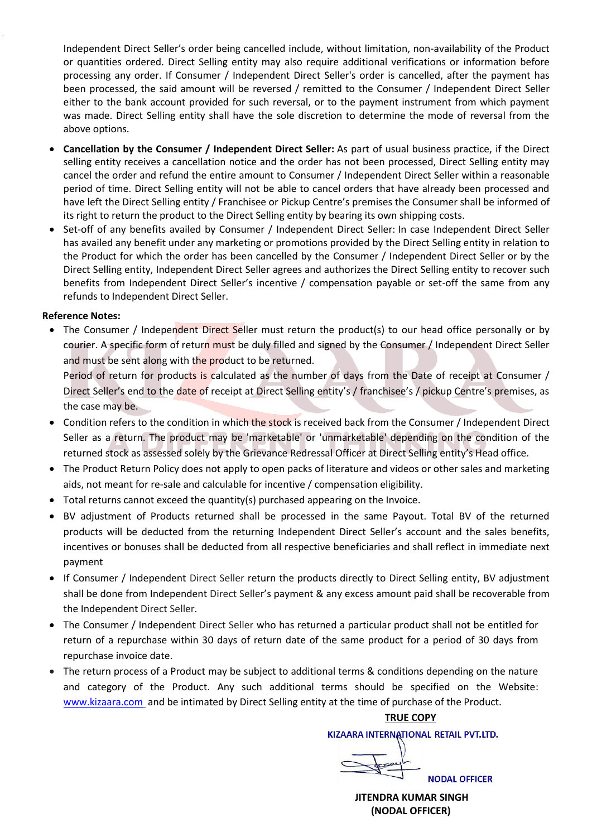Independent Direct Seller's order being cancelled include, without limitation, non-availability of the Product or quantities ordered. Direct Selling entity may also require additional verifications or information before processing any order. If Consumer / Independent Direct Seller's order is cancelled, after the payment has been processed, the said amount will be reversed / remitted to the Consumer / Independent Direct Seller either to the bank account provided for such reversal, or to the payment instrument from which payment was made. Direct Selling entity shall have the sole discretion to determine the mode of reversal from the above options.

- **Cancellation by the Consumer / Independent Direct Seller:** As part of usual business practice, if the Direct selling entity receives a cancellation notice and the order has not been processed, Direct Selling entity may cancel the order and refund the entire amount to Consumer / Independent Direct Seller within a reasonable period of time. Direct Selling entity will not be able to cancel orders that have already been processed and have left the Direct Selling entity / Franchisee or Pickup Centre's premises the Consumer shall be informed of its right to return the product to the Direct Selling entity by bearing its own shipping costs.
- Set-off of any benefits availed by Consumer / Independent Direct Seller: In case Independent Direct Seller has availed any benefit under any marketing or promotions provided by the Direct Selling entity in relation to the Product for which the order has been cancelled by the Consumer / Independent Direct Seller or by the Direct Selling entity, Independent Direct Seller agrees and authorizes the Direct Selling entity to recover such benefits from Independent Direct Seller's incentive / compensation payable or set-off the same from any refunds to Independent Direct Seller.

### **Reference Notes:**

• The Consumer / Independent Direct Seller must return the product(s) to our head office personally or by courier. A specific form of return must be duly filled and signed by the Consumer / Independent Direct Seller and must be sent along with the product to be returned.

Period of return for products is calculated as the number of days from the Date of receipt at Consumer / Direct Seller's end to the date of receipt at Direct Selling entity's / franchisee's / pickup Centre's premises, as the case may be.

- Condition refers to the condition in which the stock is received back from the Consumer / Independent Direct Seller as a return. The product may be 'marketable' or 'unmarketable' depending on the condition of the returned stock as assessed solely by the Grievance Redressal Officer at Direct Selling entity's Head office.
- The Product Return Policy does not apply to open packs of literature and videos or other sales and marketing aids, not meant for re-sale and calculable for incentive / compensation eligibility.
- Total returns cannot exceed the quantity(s) purchased appearing on the Invoice.
- BV adjustment of Products returned shall be processed in the same Payout. Total BV of the returned products will be deducted from the returning Independent Direct Seller's account and the sales benefits, incentives or bonuses shall be deducted from all respective beneficiaries and shall reflect in immediate next payment
- If Consumer / Independent Direct Seller return the products directly to Direct Selling entity, BV adjustment shall be done from Independent Direct Seller's payment & any excess amount paid shall be recoverable from the Independent Direct Seller.
- The Consumer / Independent Direct Seller who has returned a particular product shall not be entitled for return of a repurchase within 30 days of return date of the same product for a period of 30 days from repurchase invoice date.
- The return process of a Product may be subject to additional terms & conditions depending on the nature and category of the Product. Any such additional terms should be specified on the Website: [www.kizaara.com](http://www.kizaara.com/) and be intimated by Direct Selling entity at the time of purchase of the Product.

### **TRUE COPY** KIZAARA INTERNATIONAL RETAIL PVT.LTD.

**NODAL OFFICER** 

 **JITENDRA KUMAR SINGH (NODAL OFFICER)**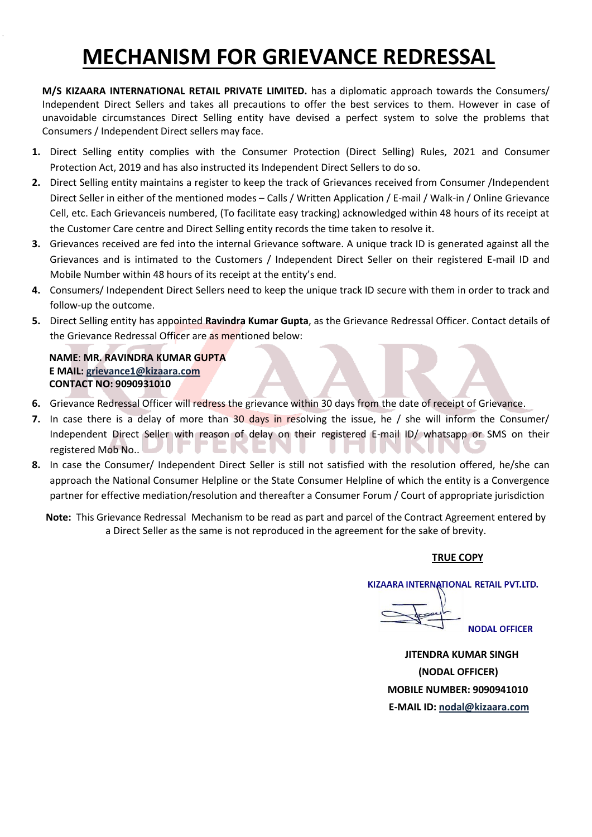## **MECHANISM FOR GRIEVANCE REDRESSAL**

**M/S KIZAARA INTERNATIONAL RETAIL PRIVATE LIMITED.** has a diplomatic approach towards the Consumers/ Independent Direct Sellers and takes all precautions to offer the best services to them. However in case of unavoidable circumstances Direct Selling entity have devised a perfect system to solve the problems that Consumers / Independent Direct sellers may face.

- **1.** Direct Selling entity complies with the Consumer Protection (Direct Selling) Rules, 2021 and Consumer Protection Act, 2019 and has also instructed its Independent Direct Sellers to do so.
- **2.** Direct Selling entity maintains a register to keep the track of Grievances received from Consumer /Independent Direct Seller in either of the mentioned modes – Calls / Written Application / E-mail / Walk-in / Online Grievance Cell, etc. Each Grievanceis numbered, (To facilitate easy tracking) acknowledged within 48 hours of its receipt at the Customer Care centre and Direct Selling entity records the time taken to resolve it.
- **3.** Grievances received are fed into the internal Grievance software. A unique track ID is generated against all the Grievances and is intimated to the Customers / Independent Direct Seller on their registered E-mail ID and Mobile Number within 48 hours of its receipt at the entity's end.
- **4.** Consumers/ Independent Direct Sellers need to keep the unique track ID secure with them in order to track and follow-up the outcome.
- **5.** Direct Selling entity has appointed **Ravindra Kumar Gupta**, as the Grievance Redressal Officer. Contact details of the Grievance Redressal Officer are as mentioned below:

### **NAME**: **MR. RAVINDRA KUMAR GUPTA E MAIL: grievance1@kizaara.com CONTACT NO: 9090931010**

- **6.** Grievance Redressal Officer will redress the grievance within 30 days from the date of receipt of Grievance.
- **7.** In case there is a delay of more than 30 days in resolving the issue, he / she will inform the Consumer/ Independent Direct Seller with reason of delay on their registered E-mail ID/ whatsapp or SMS on their registered Mob No.. v. л.
- **8.** In case the Consumer/ Independent Direct Seller is still not satisfied with the resolution offered, he/she can approach the National Consumer Helpline or the State Consumer Helpline of which the entity is a Convergence partner for effective mediation/resolution and thereafter a Consumer Forum / Court of appropriate jurisdiction

**Note:** This Grievance Redressal Mechanism to be read as part and parcel of the Contract Agreement entered by a Direct Seller as the same is not reproduced in the agreement for the sake of brevity.

### **TRUE COPY**

KIZAARA INTERNATIONAL RETAIL PVT.LTD.

**NODAL OFFICER** 

 **JITENDRA KUMAR SINGH (NODAL OFFICER) MOBILE NUMBER: 9090941010 E-MAIL ID[: nodal@kizaara.com](mailto:nodal@kizaara.com)**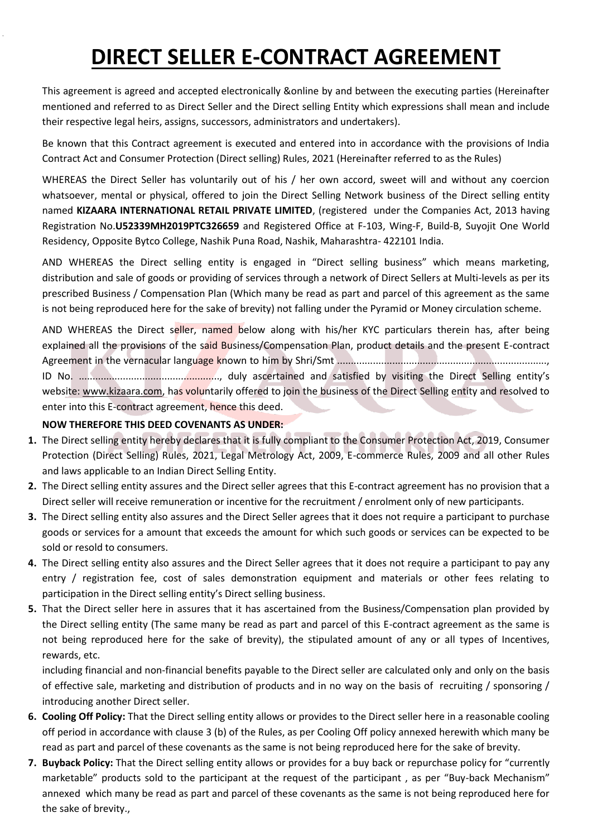## **DIRECT SELLER E-CONTRACT AGREEMENT**

This agreement is agreed and accepted electronically &online by and between the executing parties (Hereinafter mentioned and referred to as Direct Seller and the Direct selling Entity which expressions shall mean and include their respective legal heirs, assigns, successors, administrators and undertakers).

Be known that this Contract agreement is executed and entered into in accordance with the provisions of India Contract Act and Consumer Protection (Direct selling) Rules, 2021 (Hereinafter referred to as the Rules)

WHEREAS the Direct Seller has voluntarily out of his / her own accord, sweet will and without any coercion whatsoever, mental or physical, offered to join the Direct Selling Network business of the Direct selling entity named **KIZAARA INTERNATIONAL RETAIL PRIVATE LIMITED**, (registered under the Companies Act, 2013 having Registration No.**U52339MH2019PTC326659** and Registered Office at F-103, Wing-F, Build-B, Suyojit One World Residency, Opposite Bytco College, Nashik Puna Road, Nashik, Maharashtra- 422101 India.

AND WHEREAS the Direct selling entity is engaged in "Direct selling business" which means marketing, distribution and sale of goods or providing of services through a network of Direct Sellers at Multi-levels as per its prescribed Business / Compensation Plan (Which many be read as part and parcel of this agreement as the same is not being reproduced here for the sake of brevity) not falling under the Pyramid or Money circulation scheme.

AND WHEREAS the Direct seller, named below along with his/her KYC particulars therein has, after being explained all the provisions of the said Business/Compensation Plan, product details and the present E-contract Agreement in the vernacular language known to him by Shri/Smt ............................................................................, ID No. ..................................................., duly ascertained and satisfied by visiting the Direct Selling entity's website: www.kizaara.com, has voluntarily offered to join the business of the Direct Selling entity and resolved to enter into this E-contract agreement, hence this deed.

### **NOW THEREFORE THIS DEED COVENANTS AS UNDER:**

- **1.** The Direct selling entity hereby declares that it is fully compliant to the Consumer Protection Act, 2019, Consumer Protection (Direct Selling) Rules, 2021, Legal Metrology Act, 2009, E-commerce Rules, 2009 and all other Rules and laws applicable to an Indian Direct Selling Entity.
- **2.** The Direct selling entity assures and the Direct seller agrees that this E-contract agreement has no provision that a Direct seller will receive remuneration or incentive for the recruitment / enrolment only of new participants.
- **3.** The Direct selling entity also assures and the Direct Seller agrees that it does not require a participant to purchase goods or services for a amount that exceeds the amount for which such goods or services can be expected to be sold or resold to consumers.
- **4.** The Direct selling entity also assures and the Direct Seller agrees that it does not require a participant to pay any entry / registration fee, cost of sales demonstration equipment and materials or other fees relating to participation in the Direct selling entity's Direct selling business.
- **5.** That the Direct seller here in assures that it has ascertained from the Business/Compensation plan provided by the Direct selling entity (The same many be read as part and parcel of this E-contract agreement as the same is not being reproduced here for the sake of brevity), the stipulated amount of any or all types of Incentives, rewards, etc.

including financial and non-financial benefits payable to the Direct seller are calculated only and only on the basis of effective sale, marketing and distribution of products and in no way on the basis of recruiting / sponsoring / introducing another Direct seller.

- **6. Cooling Off Policy:** That the Direct selling entity allows or provides to the Direct seller here in a reasonable cooling off period in accordance with clause 3 (b) of the Rules, as per Cooling Off policy annexed herewith which many be read as part and parcel of these covenants as the same is not being reproduced here for the sake of brevity.
- **7. Buyback Policy:** That the Direct selling entity allows or provides for a buy back or repurchase policy for "currently marketable" products sold to the participant at the request of the participant , as per "Buy-back Mechanism" annexed which many be read as part and parcel of these covenants as the same is not being reproduced here for the sake of brevity.,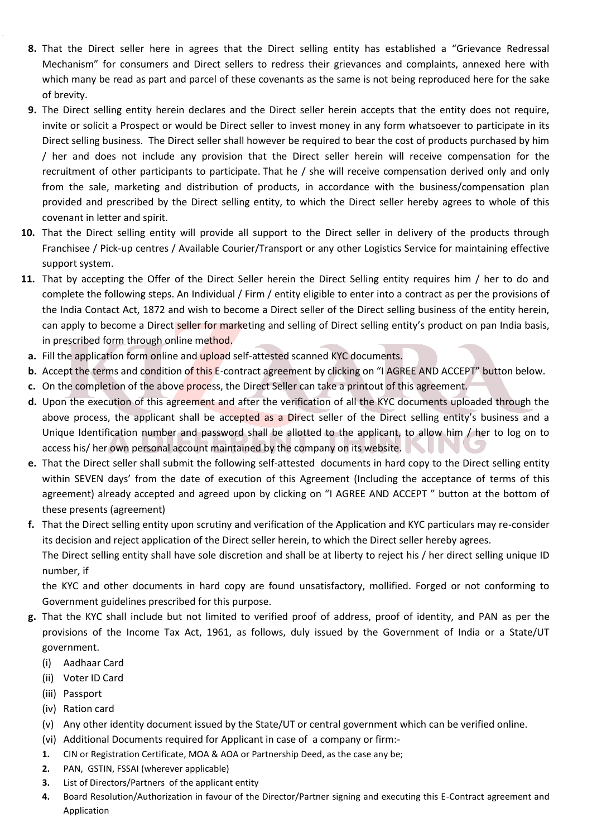- **8.** That the Direct seller here in agrees that the Direct selling entity has established a "Grievance Redressal Mechanism" for consumers and Direct sellers to redress their grievances and complaints, annexed here with which many be read as part and parcel of these covenants as the same is not being reproduced here for the sake of brevity.
- **9.** The Direct selling entity herein declares and the Direct seller herein accepts that the entity does not require, invite or solicit a Prospect or would be Direct seller to invest money in any form whatsoever to participate in its Direct selling business. The Direct seller shall however be required to bear the cost of products purchased by him / her and does not include any provision that the Direct seller herein will receive compensation for the recruitment of other participants to participate. That he / she will receive compensation derived only and only from the sale, marketing and distribution of products, in accordance with the business/compensation plan provided and prescribed by the Direct selling entity, to which the Direct seller hereby agrees to whole of this covenant in letter and spirit.
- **10.** That the Direct selling entity will provide all support to the Direct seller in delivery of the products through Franchisee / Pick-up centres / Available Courier/Transport or any other Logistics Service for maintaining effective support system.
- **11.** That by accepting the Offer of the Direct Seller herein the Direct Selling entity requires him / her to do and complete the following steps. An Individual / Firm / entity eligible to enter into a contract as per the provisions of the India Contact Act, 1872 and wish to become a Direct seller of the Direct selling business of the entity herein, can apply to become a Direct seller for marketing and selling of Direct selling entity's product on pan India basis, in prescribed form through online method.
- **a.** Fill the application form online and upload self-attested scanned KYC documents.
- **b.** Accept the terms and condition of this E-contract agreement by clicking on "I AGREE AND ACCEPT" button below.
- **c.** On the completion of the above process, the Direct Seller can take a printout of this agreement.
- **d.** Upon the execution of this agreement and after the verification of all the KYC documents uploaded through the above process, the applicant shall be accepted as a Direct seller of the Direct selling entity's business and a Unique Identification number and password shall be allotted to the applicant, to allow him / her to log on to access his/ her own personal account maintained by the company on its website.
- **e.** That the Direct seller shall submit the following self-attested documents in hard copy to the Direct selling entity within SEVEN days' from the date of execution of this Agreement (Including the acceptance of terms of this agreement) already accepted and agreed upon by clicking on "I AGREE AND ACCEPT " button at the bottom of these presents (agreement)
- **f.** That the Direct selling entity upon scrutiny and verification of the Application and KYC particulars may re-consider its decision and reject application of the Direct seller herein, to which the Direct seller hereby agrees. The Direct selling entity shall have sole discretion and shall be at liberty to reject his / her direct selling unique ID number, if

the KYC and other documents in hard copy are found unsatisfactory, mollified. Forged or not conforming to Government guidelines prescribed for this purpose.

- **g.** That the KYC shall include but not limited to verified proof of address, proof of identity, and PAN as per the provisions of the Income Tax Act, 1961, as follows, duly issued by the Government of India or a State/UT government.
	- (i) Aadhaar Card
	- (ii) Voter ID Card
	- (iii) Passport
	- (iv) Ration card
	- (v) Any other identity document issued by the State/UT or central government which can be verified online.
	- (vi) Additional Documents required for Applicant in case of a company or firm:-
	- **1.** CIN or Registration Certificate, MOA & AOA or Partnership Deed, as the case any be;
	- **2.** PAN, GSTIN, FSSAI (wherever applicable)
	- **3.** List of Directors/Partners of the applicant entity
	- **4.** Board Resolution/Authorization in favour of the Director/Partner signing and executing this E-Contract agreement and Application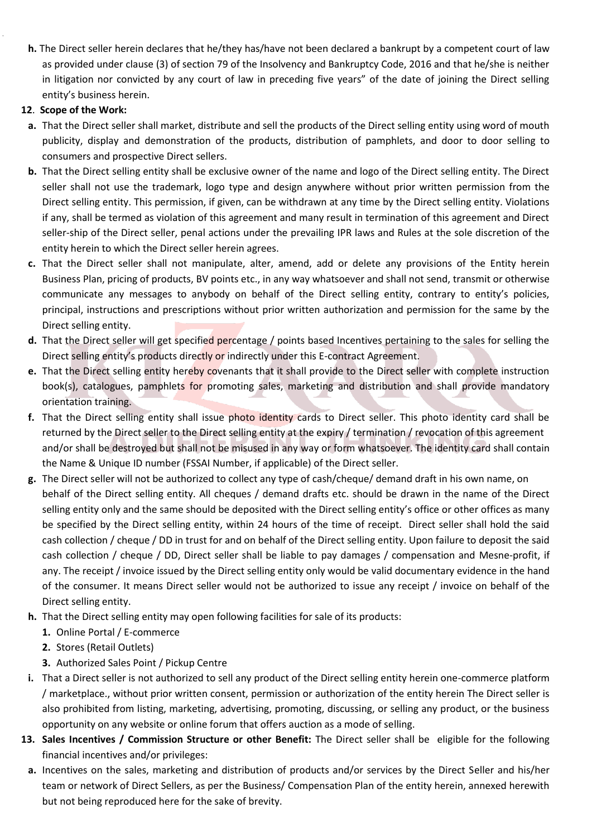**h.** The Direct seller herein declares that he/they has/have not been declared a bankrupt by a competent court of law as provided under clause (3) of section 79 of the Insolvency and Bankruptcy Code, 2016 and that he/she is neither in litigation nor convicted by any court of law in preceding five years" of the date of joining the Direct selling entity's business herein.

### **12**. **Scope of the Work:**

- **a.** That the Direct seller shall market, distribute and sell the products of the Direct selling entity using word of mouth publicity, display and demonstration of the products, distribution of pamphlets, and door to door selling to consumers and prospective Direct sellers.
- **b.** That the Direct selling entity shall be exclusive owner of the name and logo of the Direct selling entity. The Direct seller shall not use the trademark, logo type and design anywhere without prior written permission from the Direct selling entity. This permission, if given, can be withdrawn at any time by the Direct selling entity. Violations if any, shall be termed as violation of this agreement and many result in termination of this agreement and Direct seller-ship of the Direct seller, penal actions under the prevailing IPR laws and Rules at the sole discretion of the entity herein to which the Direct seller herein agrees.
- **c.** That the Direct seller shall not manipulate, alter, amend, add or delete any provisions of the Entity herein Business Plan, pricing of products, BV points etc., in any way whatsoever and shall not send, transmit or otherwise communicate any messages to anybody on behalf of the Direct selling entity, contrary to entity's policies, principal, instructions and prescriptions without prior written authorization and permission for the same by the Direct selling entity.
- **d.** That the Direct seller will get specified percentage / points based Incentives pertaining to the sales for selling the Direct selling entity's products directly or indirectly under this E-contract Agreement.
- **e.** That the Direct selling entity hereby covenants that it shall provide to the Direct seller with complete instruction book(s), catalogues, pamphlets for promoting sales, marketing and distribution and shall provide mandatory orientation training.
- **f.** That the Direct selling entity shall issue photo identity cards to Direct seller. This photo identity card shall be returned by the Direct seller to the Direct selling entity at the expiry / termination / revocation of this agreement and/or shall be destroyed but shall not be misused in any way or form whatsoever. The identity card shall contain the Name & Unique ID number (FSSAI Number, if applicable) of the Direct seller.
- **g.** The Direct seller will not be authorized to collect any type of cash/cheque/ demand draft in his own name, on behalf of the Direct selling entity. All cheques / demand drafts etc. should be drawn in the name of the Direct selling entity only and the same should be deposited with the Direct selling entity's office or other offices as many be specified by the Direct selling entity, within 24 hours of the time of receipt. Direct seller shall hold the said cash collection / cheque / DD in trust for and on behalf of the Direct selling entity. Upon failure to deposit the said cash collection / cheque / DD, Direct seller shall be liable to pay damages / compensation and Mesne-profit, if any. The receipt / invoice issued by the Direct selling entity only would be valid documentary evidence in the hand of the consumer. It means Direct seller would not be authorized to issue any receipt / invoice on behalf of the Direct selling entity.
- **h.** That the Direct selling entity may open following facilities for sale of its products:
	- **1.** Online Portal / E-commerce
	- **2.** Stores (Retail Outlets)
	- **3.** Authorized Sales Point / Pickup Centre
- **i.** That a Direct seller is not authorized to sell any product of the Direct selling entity herein one-commerce platform / marketplace., without prior written consent, permission or authorization of the entity herein The Direct seller is also prohibited from listing, marketing, advertising, promoting, discussing, or selling any product, or the business opportunity on any website or online forum that offers auction as a mode of selling.
- **13. Sales Incentives / Commission Structure or other Benefit:** The Direct seller shall be eligible for the following financial incentives and/or privileges:
- **a.** Incentives on the sales, marketing and distribution of products and/or services by the Direct Seller and his/her team or network of Direct Sellers, as per the Business/ Compensation Plan of the entity herein, annexed herewith but not being reproduced here for the sake of brevity.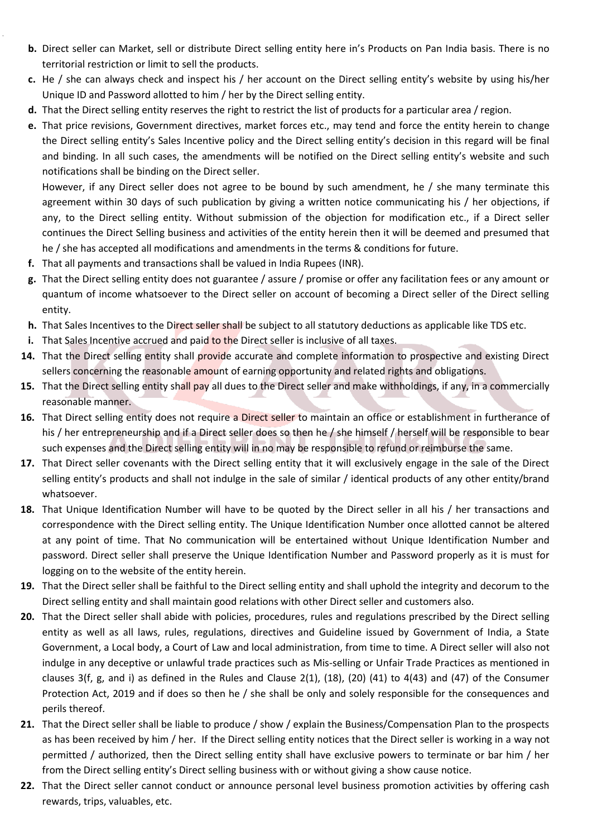- **b.** Direct seller can Market, sell or distribute Direct selling entity here in's Products on Pan India basis. There is no territorial restriction or limit to sell the products.
- **c.** He / she can always check and inspect his / her account on the Direct selling entity's website by using his/her Unique ID and Password allotted to him / her by the Direct selling entity.
- **d.** That the Direct selling entity reserves the right to restrict the list of products for a particular area / region.
- **e.** That price revisions, Government directives, market forces etc., may tend and force the entity herein to change the Direct selling entity's Sales Incentive policy and the Direct selling entity's decision in this regard will be final and binding. In all such cases, the amendments will be notified on the Direct selling entity's website and such notifications shall be binding on the Direct seller.

However, if any Direct seller does not agree to be bound by such amendment, he / she many terminate this agreement within 30 days of such publication by giving a written notice communicating his / her objections, if any, to the Direct selling entity. Without submission of the objection for modification etc., if a Direct seller continues the Direct Selling business and activities of the entity herein then it will be deemed and presumed that he / she has accepted all modifications and amendments in the terms & conditions for future.

- **f.** That all payments and transactions shall be valued in India Rupees (INR).
- **g.** That the Direct selling entity does not guarantee / assure / promise or offer any facilitation fees or any amount or quantum of income whatsoever to the Direct seller on account of becoming a Direct seller of the Direct selling entity.
- **h.** That Sales Incentives to the Direct seller shall be subject to all statutory deductions as applicable like TDS etc.
- **i.** That Sales Incentive accrued and paid to the Direct seller is inclusive of all taxes.
- **14.** That the Direct selling entity shall provide accurate and complete information to prospective and existing Direct sellers concerning the reasonable amount of earning opportunity and related rights and obligations.
- **15.** That the Direct selling entity shall pay all dues to the Direct seller and make withholdings, if any, in a commercially reasonable manner.
- **16.** That Direct selling entity does not require a Direct seller to maintain an office or establishment in furtherance of his / her entrepreneurship and if a Direct seller does so then he / she himself / herself will be responsible to bear such expenses and the Direct selling entity will in no may be responsible to refund or reimburse the same.
- **17.** That Direct seller covenants with the Direct selling entity that it will exclusively engage in the sale of the Direct selling entity's products and shall not indulge in the sale of similar / identical products of any other entity/brand whatsoever.
- **18.** That Unique Identification Number will have to be quoted by the Direct seller in all his / her transactions and correspondence with the Direct selling entity. The Unique Identification Number once allotted cannot be altered at any point of time. That No communication will be entertained without Unique Identification Number and password. Direct seller shall preserve the Unique Identification Number and Password properly as it is must for logging on to the website of the entity herein.
- **19.** That the Direct seller shall be faithful to the Direct selling entity and shall uphold the integrity and decorum to the Direct selling entity and shall maintain good relations with other Direct seller and customers also.
- **20.** That the Direct seller shall abide with policies, procedures, rules and regulations prescribed by the Direct selling entity as well as all laws, rules, regulations, directives and Guideline issued by Government of India, a State Government, a Local body, a Court of Law and local administration, from time to time. A Direct seller will also not indulge in any deceptive or unlawful trade practices such as Mis-selling or Unfair Trade Practices as mentioned in clauses 3(f, g, and i) as defined in the Rules and Clause 2(1), (18), (20) (41) to 4(43) and (47) of the Consumer Protection Act, 2019 and if does so then he / she shall be only and solely responsible for the consequences and perils thereof.
- **21.** That the Direct seller shall be liable to produce / show / explain the Business/Compensation Plan to the prospects as has been received by him / her. If the Direct selling entity notices that the Direct seller is working in a way not permitted / authorized, then the Direct selling entity shall have exclusive powers to terminate or bar him / her from the Direct selling entity's Direct selling business with or without giving a show cause notice.
- **22.** That the Direct seller cannot conduct or announce personal level business promotion activities by offering cash rewards, trips, valuables, etc.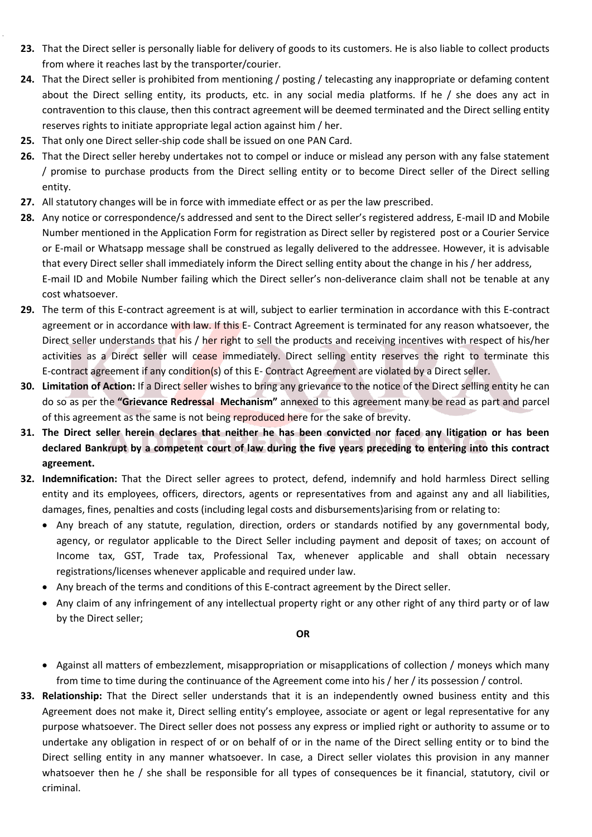- **23.** That the Direct seller is personally liable for delivery of goods to its customers. He is also liable to collect products from where it reaches last by the transporter/courier.
- **24.** That the Direct seller is prohibited from mentioning / posting / telecasting any inappropriate or defaming content about the Direct selling entity, its products, etc. in any social media platforms. If he / she does any act in contravention to this clause, then this contract agreement will be deemed terminated and the Direct selling entity reserves rights to initiate appropriate legal action against him / her.
- **25.** That only one Direct seller-ship code shall be issued on one PAN Card.
- **26.** That the Direct seller hereby undertakes not to compel or induce or mislead any person with any false statement / promise to purchase products from the Direct selling entity or to become Direct seller of the Direct selling entity.
- **27.** All statutory changes will be in force with immediate effect or as per the law prescribed.
- **28.** Any notice or correspondence/s addressed and sent to the Direct seller's registered address, E-mail ID and Mobile Number mentioned in the Application Form for registration as Direct seller by registered post or a Courier Service or E-mail or Whatsapp message shall be construed as legally delivered to the addressee. However, it is advisable that every Direct seller shall immediately inform the Direct selling entity about the change in his / her address, E-mail ID and Mobile Number failing which the Direct seller's non-deliverance claim shall not be tenable at any cost whatsoever.
- **29.** The term of this E-contract agreement is at will, subject to earlier termination in accordance with this E-contract agreement or in accordance with law. If this E- Contract Agreement is terminated for any reason whatsoever, the Direct seller understands that his / her right to sell the products and receiving incentives with respect of his/her activities as a Direct seller will cease immediately. Direct selling entity reserves the right to terminate this E-contract agreement if any condition(s) of this E- Contract Agreement are violated by a Direct seller.
- **30. Limitation of Action:** If a Direct seller wishes to bring any grievance to the notice of the Direct selling entity he can do so as per the **"Grievance Redressal Mechanism"** annexed to this agreement many be read as part and parcel of this agreement as the same is not being reproduced here for the sake of brevity.
- **31. The Direct seller herein declares that neither he has been convicted nor faced any litigation or has been declared Bankrupt by a competent court of law during the five years preceding to entering into this contract agreement.**
- **32. Indemnification:** That the Direct seller agrees to protect, defend, indemnify and hold harmless Direct selling entity and its employees, officers, directors, agents or representatives from and against any and all liabilities, damages, fines, penalties and costs (including legal costs and disbursements)arising from or relating to:
	- Any breach of any statute, regulation, direction, orders or standards notified by any governmental body, agency, or regulator applicable to the Direct Seller including payment and deposit of taxes; on account of Income tax, GST, Trade tax, Professional Tax, whenever applicable and shall obtain necessary registrations/licenses whenever applicable and required under law.
	- Any breach of the terms and conditions of this E-contract agreement by the Direct seller.
	- Any claim of any infringement of any intellectual property right or any other right of any third party or of law by the Direct seller;

**OR**

- Against all matters of embezzlement, misappropriation or misapplications of collection / moneys which many from time to time during the continuance of the Agreement come into his / her / its possession / control.
- **33. Relationship:** That the Direct seller understands that it is an independently owned business entity and this Agreement does not make it, Direct selling entity's employee, associate or agent or legal representative for any purpose whatsoever. The Direct seller does not possess any express or implied right or authority to assume or to undertake any obligation in respect of or on behalf of or in the name of the Direct selling entity or to bind the Direct selling entity in any manner whatsoever. In case, a Direct seller violates this provision in any manner whatsoever then he / she shall be responsible for all types of consequences be it financial, statutory, civil or criminal.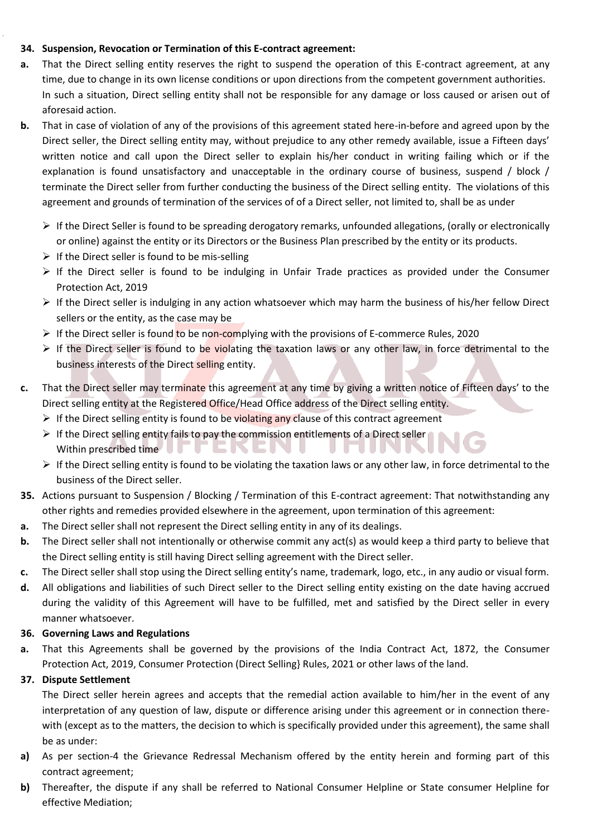### **34. Suspension, Revocation or Termination of this E-contract agreement:**

- **a.** That the Direct selling entity reserves the right to suspend the operation of this E-contract agreement, at any time, due to change in its own license conditions or upon directions from the competent government authorities. In such a situation, Direct selling entity shall not be responsible for any damage or loss caused or arisen out of aforesaid action.
- **b.** That in case of violation of any of the provisions of this agreement stated here-in-before and agreed upon by the Direct seller, the Direct selling entity may, without prejudice to any other remedy available, issue a Fifteen days' written notice and call upon the Direct seller to explain his/her conduct in writing failing which or if the explanation is found unsatisfactory and unacceptable in the ordinary course of business, suspend / block / terminate the Direct seller from further conducting the business of the Direct selling entity. The violations of this agreement and grounds of termination of the services of of a Direct seller, not limited to, shall be as under
	- $\triangleright$  If the Direct Seller is found to be spreading derogatory remarks, unfounded allegations, (orally or electronically or online) against the entity or its Directors or the Business Plan prescribed by the entity or its products.
	- $\triangleright$  If the Direct seller is found to be mis-selling
	- $\triangleright$  If the Direct seller is found to be indulging in Unfair Trade practices as provided under the Consumer Protection Act, 2019
	- If the Direct seller is indulging in any action whatsoever which may harm the business of his/her fellow Direct sellers or the entity, as the case may be
	- $\triangleright$  If the Direct seller is found to be non-complying with the provisions of E-commerce Rules, 2020
	- $\triangleright$  If the Direct seller is found to be violating the taxation laws or any other law, in force detrimental to the business interests of the Direct selling entity.
- **c.** That the Direct seller may terminate this agreement at any time by giving a written notice of Fifteen days' to the Direct selling entity at the Registered Office/Head Office address of the Direct selling entity.
	- $\triangleright$  If the Direct selling entity is found to be violating any clause of this contract agreement
	- $\triangleright$  If the Direct selling entity fails to pay the commission entitlements of a Direct seller Within prescribed time  $\Box$   $\Box$   $\Box$   $\Box$   $\Box$   $\Box$ v. u. **Contract**
	- $\triangleright$  If the Direct selling entity is found to be violating the taxation laws or any other law, in force detrimental to the business of the Direct seller.
- **35.** Actions pursuant to Suspension / Blocking / Termination of this E-contract agreement: That notwithstanding any other rights and remedies provided elsewhere in the agreement, upon termination of this agreement:
- **a.** The Direct seller shall not represent the Direct selling entity in any of its dealings.
- **b.** The Direct seller shall not intentionally or otherwise commit any act(s) as would keep a third party to believe that the Direct selling entity is still having Direct selling agreement with the Direct seller.
- **c.** The Direct seller shall stop using the Direct selling entity's name, trademark, logo, etc., in any audio or visual form.
- **d.** All obligations and liabilities of such Direct seller to the Direct selling entity existing on the date having accrued during the validity of this Agreement will have to be fulfilled, met and satisfied by the Direct seller in every manner whatsoever.

### **36. Governing Laws and Regulations**

**a.** That this Agreements shall be governed by the provisions of the India Contract Act, 1872, the Consumer Protection Act, 2019, Consumer Protection (Direct Selling} Rules, 2021 or other laws of the land.

### **37. Dispute Settlement**

The Direct seller herein agrees and accepts that the remedial action available to him/her in the event of any interpretation of any question of law, dispute or difference arising under this agreement or in connection therewith (except as to the matters, the decision to which is specifically provided under this agreement), the same shall be as under:

- **a)** As per section-4 the Grievance Redressal Mechanism offered by the entity herein and forming part of this contract agreement;
- **b)** Thereafter, the dispute if any shall be referred to National Consumer Helpline or State consumer Helpline for effective Mediation;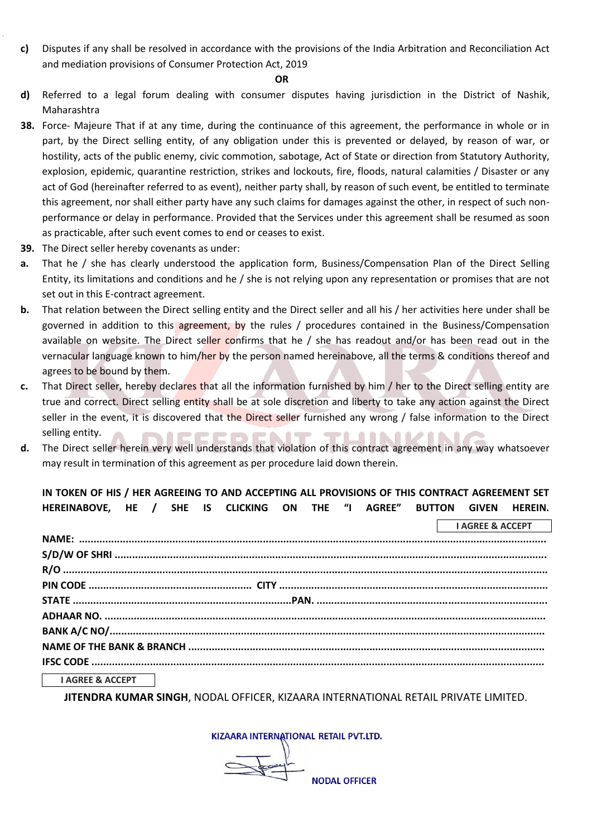**c)** Disputes if any shall be resolved in accordance with the provisions of the India Arbitration and Reconciliation Act and mediation provisions of Consumer Protection Act, 2019

#### **OR**

- **d)** Referred to a legal forum dealing with consumer disputes having jurisdiction in the District of Nashik, Maharashtra
- **38.** Force- Majeure That if at any time, during the continuance of this agreement, the performance in whole or in part, by the Direct selling entity, of any obligation under this is prevented or delayed, by reason of war, or hostility, acts of the public enemy, civic commotion, sabotage, Act of State or direction from Statutory Authority, explosion, epidemic, quarantine restriction, strikes and lockouts, fire, floods, natural calamities / Disaster or any act of God (hereinafter referred to as event), neither party shall, by reason of such event, be entitled to terminate this agreement, nor shall either party have any such claims for damages against the other, in respect of such nonperformance or delay in performance. Provided that the Services under this agreement shall be resumed as soon as practicable, after such event comes to end or ceases to exist.
- **39.** The Direct seller hereby covenants as under:
- **a.** That he / she has clearly understood the application form, Business/Compensation Plan of the Direct Selling Entity, its limitations and conditions and he / she is not relying upon any representation or promises that are not set out in this E-contract agreement.
- **b.** That relation between the Direct selling entity and the Direct seller and all his / her activities here under shall be governed in addition to this agreement, by the rules / procedures contained in the Business/Compensation available on website. The Direct seller confirms that he / she has readout and/or has been read out in the vernacular language known to him/her by the person named hereinabove, all the terms & conditions thereof and agrees to be bound by them.
- **c.** That Direct seller, hereby declares that all the information furnished by him / her to the Direct selling entity are true and correct. Direct selling entity shall be at sole discretion and liberty to take any action against the Direct seller in the event, it is discovered that the Direct seller furnished any wrong / false information to the Direct selling entity. PEREN **IT TIIL ALANA**
- **d.** The Direct seller herein very well understands that violation of this contract agreement in any way whatsoever may result in termination of this agreement as per procedure laid down therein.

### **IN TOKEN OF HIS / HER AGREEING TO AND ACCEPTING ALL PROVISIONS OF THIS CONTRACT AGREEMENT SET HEREINABOVE, HE / SHE IS CLICKING ON THE "I AGREE" BUTTON GIVEN HEREIN.**

|                             | <b>I AGREE &amp; ACCEPT</b> |
|-----------------------------|-----------------------------|
|                             |                             |
|                             |                             |
|                             |                             |
|                             |                             |
|                             |                             |
|                             |                             |
|                             |                             |
|                             |                             |
|                             |                             |
| <b>I AGREE &amp; ACCEPT</b> |                             |

**I AGREE & ACCEPT**

**JITENDRA KUMAR SINGH**, NODAL OFFICER, KIZAARA INTERNATIONAL RETAIL PRIVATE LIMITED.

KIZAARA INTERNATIONAL RETAIL PVT.LTD.

 $\sqrt{\frac{1}{2}}$ **NODAL OFFICER**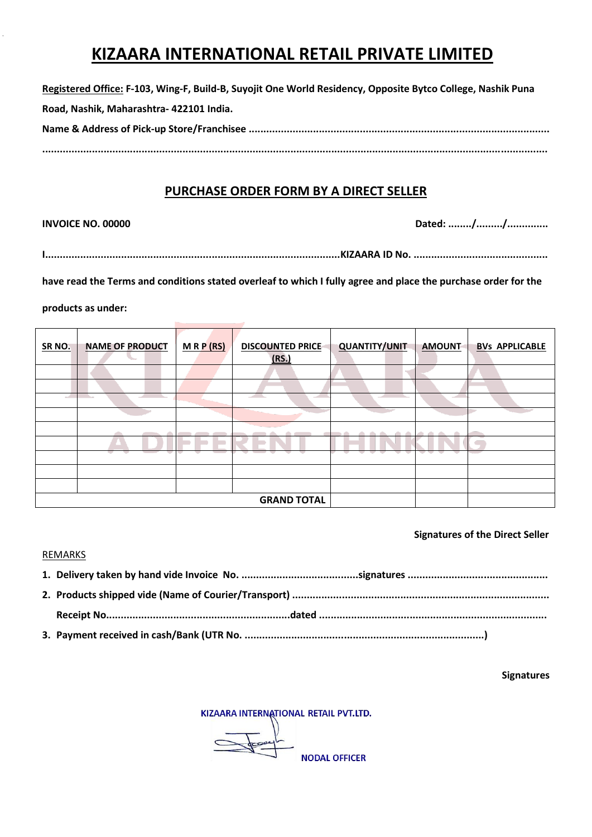### **KIZAARA INTERNATIONAL RETAIL PRIVATE LIMITED**

| Registered Office: F-103, Wing-F, Build-B, Suyojit One World Residency, Opposite Bytco College, Nashik Puna |  |
|-------------------------------------------------------------------------------------------------------------|--|
| Road, Nashik, Maharashtra- 422101 India.                                                                    |  |
|                                                                                                             |  |
|                                                                                                             |  |

### **PURCHASE ORDER FORM BY A DIRECT SELLER**

 $\ddot{\phantom{a}}$ 

**INVOICE NO. 00000 Dated: ......../........./..............**

```
I.....................................................................................................KIZAARA ID No. ..............................................
```
**have read the Terms and conditions stated overleaf to which I fully agree and place the purchase order for the** 

#### **products as under:**

| <b>SR NO.</b> | <b>NAME OF PRODUCT</b> | MRP(RS) | <b>DISCOUNTED PRICE</b><br>(RS.) | <b>QUANTITY/UNIT</b> | <b>AMOUNT</b> | <b>BVs APPLICABLE</b> |  |
|---------------|------------------------|---------|----------------------------------|----------------------|---------------|-----------------------|--|
|               |                        |         |                                  |                      |               |                       |  |
|               |                        |         |                                  |                      |               |                       |  |
|               |                        |         |                                  |                      |               |                       |  |
|               |                        |         |                                  |                      |               |                       |  |
|               |                        |         |                                  |                      |               |                       |  |
|               |                        |         |                                  |                      |               |                       |  |
|               | . .                    |         |                                  |                      |               |                       |  |
|               |                        |         |                                  |                      |               |                       |  |
|               |                        |         |                                  |                      |               |                       |  |
|               | <b>GRAND TOTAL</b>     |         |                                  |                      |               |                       |  |

### **Signatures of the Direct Seller**

#### REMARKS

#### **Signatures**

KIZAARA INTERNATIONAL RETAIL PVT.LTD.

 $\begin{array}{c} \hline \text{1} & \text{1} & \text{1} & \text{1} & \text{1} & \text{1} & \text{1} & \text{1} & \text{1} & \text{1} & \text{1} & \text{1} & \text{1} & \text{1} & \text{1} & \text{1} & \text{1} & \text{1} & \text{1} & \text{1} & \text{1} & \text{1} & \text{1} & \text{1} & \text{1} & \text{1} & \text{1} & \text{1} & \text{1} & \text{1} & \text{1} & \text{1} & \text{1} & \text{1} & \text{1} &$ 

**NODAL OFFICER**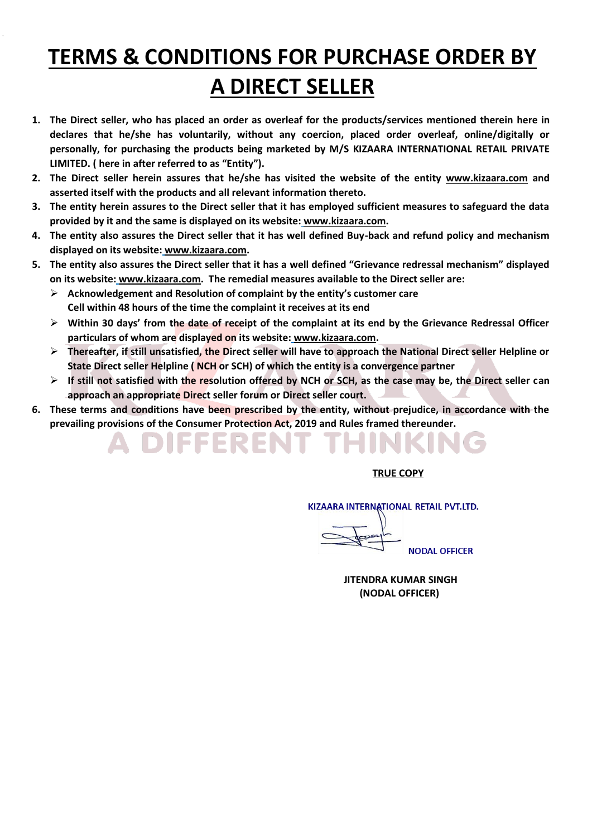# **TERMS & CONDITIONS FOR PURCHASE ORDER BY A DIRECT SELLER**

- **1. The Direct seller, who has placed an order as overleaf for the products/services mentioned therein here in declares that he/she has voluntarily, without any coercion, placed order overleaf, online/digitally or personally, for purchasing the products being marketed by M/S KIZAARA INTERNATIONAL RETAIL PRIVATE LIMITED. ( here in after referred to as "Entity").**
- **2. The Direct seller herein assures that he/she has visited the website of the entity www.kizaara.com and asserted itself with the products and all relevant information thereto.**
- **3. The entity herein assures to the Direct seller that it has employed sufficient measures to safeguard the data provided by it and the same is displayed on its website: www.kizaara.com.**
- **4. The entity also assures the Direct seller that it has well defined Buy-back and refund policy and mechanism displayed on its website: www.kizaara.com.**
- **5. The entity also assures the Direct seller that it has a well defined "Grievance redressal mechanism" displayed on its website: www.kizaara.com. The remedial measures available to the Direct seller are:**
	- **Acknowledgement and Resolution of complaint by the entity's customer care Cell within 48 hours of the time the complaint it receives at its end**

IISSERFN

- **Within 30 days' from the date of receipt of the complaint at its end by the Grievance Redressal Officer particulars of whom are displayed on its website: www.kizaara.com.**
- **Thereafter, if still unsatisfied, the Direct seller will have to approach the National Direct seller Helpline or State Direct seller Helpline ( NCH or SCH) of which the entity is a convergence partner**
- **If still not satisfied with the resolution offered by NCH or SCH, as the case may be, the Direct seller can approach an appropriate Direct seller forum or Direct seller court.**
- **6. These terms and conditions have been prescribed by the entity, without prejudice, in accordance with the prevailing provisions of the Consumer Protection Act, 2019 and Rules framed thereunder.**

### **TRUE COPY**

KIZAARA INTERNATIONAL RETAIL PVT.LTD.

**NODAL OFFICER** 

 **JITENDRA KUMAR SINGH (NODAL OFFICER)**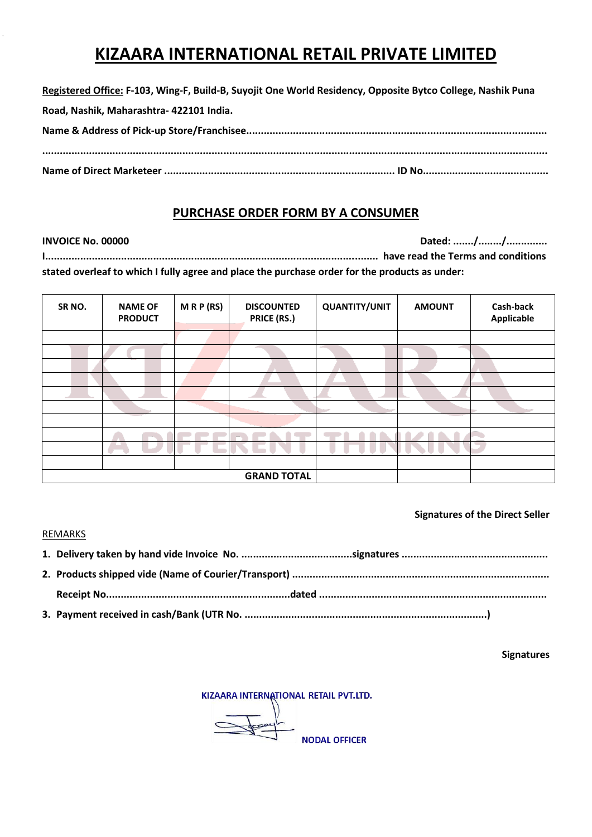### **KIZAARA INTERNATIONAL RETAIL PRIVATE LIMITED**

**Registered Office: F-103, Wing-F, Build-B, Suyojit One World Residency, Opposite Bytco College, Nashik Puna Road, Nashik, Maharashtra- 422101 India. Name & Address of Pick-up Store/Franchisee....................................................................................................... ............................................................................................................................................................................. Name of Direct Marketeer ............................................................................... ID No...........................................**

### **PURCHASE ORDER FORM BY A CONSUMER**

**INVOICE No. 00000 Dated: ......./......../..............** 

**I.................................................................................................................. have read the Terms and conditions stated overleaf to which I fully agree and place the purchase order for the products as under:**

| SR <sub>NO</sub> . | <b>NAME OF</b><br><b>PRODUCT</b> | MRP(RS)            | <b>DISCOUNTED</b><br><b>PRICE (RS.)</b> | <b>QUANTITY/UNIT</b> | <b>AMOUNT</b> | Cash-back<br>Applicable |  |  |
|--------------------|----------------------------------|--------------------|-----------------------------------------|----------------------|---------------|-------------------------|--|--|
|                    |                                  |                    |                                         |                      |               |                         |  |  |
|                    |                                  |                    |                                         |                      |               |                         |  |  |
|                    |                                  |                    |                                         |                      |               |                         |  |  |
|                    |                                  |                    |                                         |                      |               |                         |  |  |
|                    |                                  |                    |                                         |                      |               |                         |  |  |
|                    |                                  |                    |                                         |                      |               |                         |  |  |
|                    |                                  |                    |                                         |                      |               |                         |  |  |
|                    |                                  |                    |                                         |                      |               |                         |  |  |
|                    |                                  |                    |                                         |                      |               |                         |  |  |
|                    |                                  |                    |                                         |                      |               |                         |  |  |
|                    |                                  | <b>GRAND TOTAL</b> |                                         |                      |               |                         |  |  |

### **Signatures of the Direct Seller**

### **REMARKS**

**Signatures**

KIZAARA INTERNATIONAL RETAIL PVT.LTD.

 $\sqrt{2\pi}$ 

**NODAL OFFICER**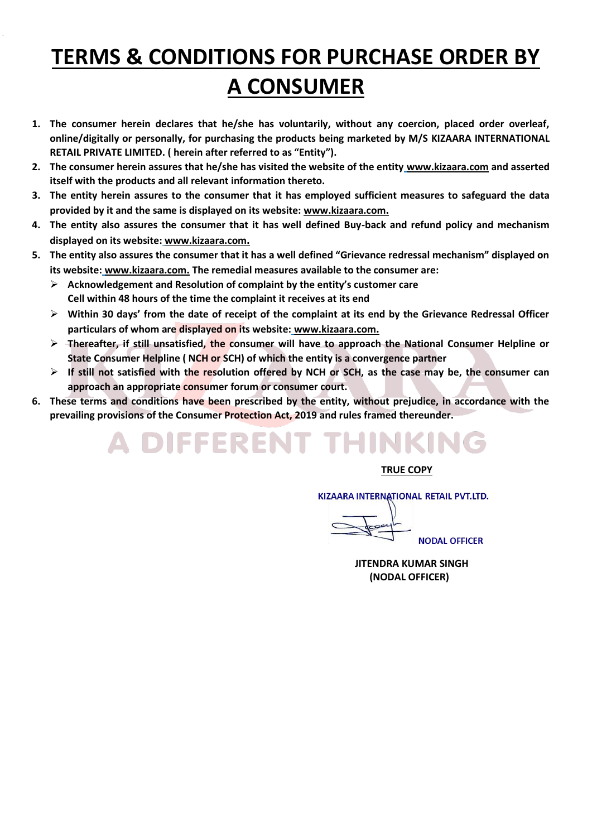## **TERMS & CONDITIONS FOR PURCHASE ORDER BY A CONSUMER**

- **1. The consumer herein declares that he/she has voluntarily, without any coercion, placed order overleaf, online/digitally or personally, for purchasing the products being marketed by M/S KIZAARA INTERNATIONAL RETAIL PRIVATE LIMITED. ( herein after referred to as "Entity").**
- **2. The consumer herein assures that he/she has visited the website of the entity www.kizaara.com and asserted itself with the products and all relevant information thereto.**
- **3. The entity herein assures to the consumer that it has employed sufficient measures to safeguard the data provided by it and the same is displayed on its website: www.kizaara.com.**
- **4. The entity also assures the consumer that it has well defined Buy-back and refund policy and mechanism displayed on its website: www.kizaara.com.**
- **5. The entity also assures the consumer that it has a well defined "Grievance redressal mechanism" displayed on its website: [www.kizaara.com](http://www.kizaara.com/). The remedial measures available to the consumer are:**
	- **Acknowledgement and Resolution of complaint by the entity's customer care Cell within 48 hours of the time the complaint it receives at its end**
	- **Within 30 days' from the date of receipt of the complaint at its end by the Grievance Redressal Officer particulars of whom are displayed on its website: www.kizaara.com.**
	- **Thereafter, if still unsatisfied, the consumer will have to approach the National Consumer Helpline or State Consumer Helpline ( NCH or SCH) of which the entity is a convergence partner**
	- **If still not satisfied with the resolution offered by NCH or SCH, as the case may be, the consumer can approach an appropriate consumer forum or consumer court.**
- **6. These terms and conditions have been prescribed by the entity, without prejudice, in accordance with the prevailing provisions of the Consumer Protection Act, 2019 and rules framed thereunder.**

# A DIFFERENT THINKING

 **TRUE COPY**

KIZAARA INTERNATIONAL RETAIL PVT.LTD.

**NODAL OFFICER** 

 **JITENDRA KUMAR SINGH (NODAL OFFICER)**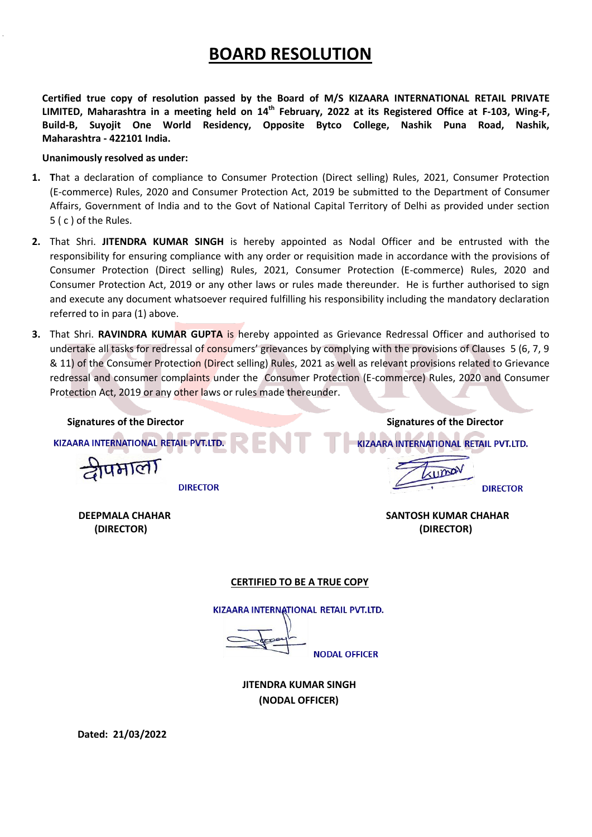### **BOARD RESOLUTION**

**Certified true copy of resolution passed by the Board of M/S KIZAARA INTERNATIONAL RETAIL PRIVATE LIMITED, Maharashtra in a meeting held on 14th February, 2022 at its Registered Office at F-103, Wing-F, Build-B, Suyojit One World Residency, Opposite Bytco College, Nashik Puna Road, Nashik, Maharashtra - 422101 India.**

#### **Unanimously resolved as under:**

- **1. T**hat a declaration of compliance to Consumer Protection (Direct selling) Rules, 2021, Consumer Protection (E-commerce) Rules, 2020 and Consumer Protection Act, 2019 be submitted to the Department of Consumer Affairs, Government of India and to the Govt of National Capital Territory of Delhi as provided under section 5 ( c ) of the Rules.
- **2.** That Shri. **JITENDRA KUMAR SINGH** is hereby appointed as Nodal Officer and be entrusted with the responsibility for ensuring compliance with any order or requisition made in accordance with the provisions of Consumer Protection (Direct selling) Rules, 2021, Consumer Protection (E-commerce) Rules, 2020 and Consumer Protection Act, 2019 or any other laws or rules made thereunder. He is further authorised to sign and execute any document whatsoever required fulfilling his responsibility including the mandatory declaration referred to in para (1) above.
- **3.** That Shri. **RAVINDRA KUMAR GUPTA** is hereby appointed as Grievance Redressal Officer and authorised to undertake all tasks for redressal of consumers' grievances by complying with the provisions of Clauses 5 (6, 7, 9 & 11) of the Consumer Protection (Direct selling) Rules, 2021 as well as relevant provisions related to Grievance redressal and consumer complaints under the Consumer Protection (E-commerce) Rules, 2020 and Consumer Protection Act, 2019 or any other laws or rules made thereunder.

KIZAARA INTERNATIONAL RETAIL PVT.LTD.

त्रीपभाला

**DIRECTOR** 

**Signatures of the Director Signatures of the Director Signatures of the Director** KIZAARA INTERNATIONAL RETAIL PVT.LTD.

Umay

**DIRECTOR** 

 **DEEPMALA CHAHAR SANTOSH KUMAR CHAHAR (DIRECTOR) (DIRECTOR)**

#### **CERTIFIED TO BE A TRUE COPY**

KIZAARA INTERNATIONAL RETAIL PVT.LTD.

**NODAL OFFICER** 

 **JITENDRA KUMAR SINGH (NODAL OFFICER)**

**Dated: 21/03/2022**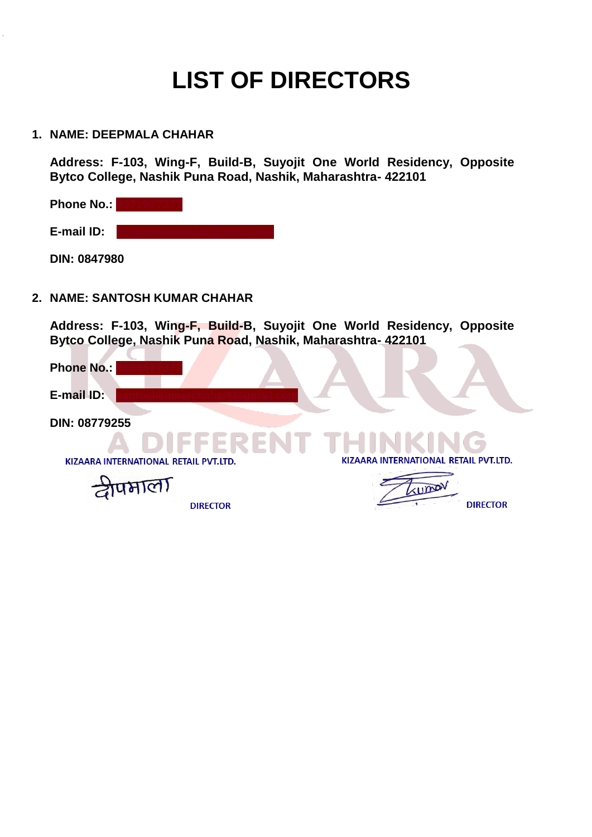# **LIST OF DIRECTORS**

### **1. NAME: DEEPMALA CHAHAR**

 $\ddot{\phantom{a}}$ 

**Address: F-103, Wing-F, Build-B, Suyojit One World Residency, Opposite Bytco College, Nashik Puna Road, Nashik, Maharashtra- 422101** 

**Phone No.: 9371977377 E-mail ID: DIN: 0847980**

### **2. NAME: SANTOSH KUMAR CHAHAR**

**Address: F-103, Wing-F, Build-B, Suyojit One World Residency, Opposite Bytco College, Nashik Puna Road, Nashik, Maharashtra- 422101**  

| <b>Phone No.:</b>                     |                                       |
|---------------------------------------|---------------------------------------|
| E-mail ID:                            |                                       |
| DIN: 08779255                         |                                       |
|                                       | DIEEERENT TEINKING                    |
| KIZAARA INTERNATIONAL RETAIL PVT.LTD. | KIZAARA INTERNATIONAL RETAIL PVT.LTD. |
|                                       | KUMO                                  |
| <b>DIRECTOR</b>                       | <b>DIRECTOR</b>                       |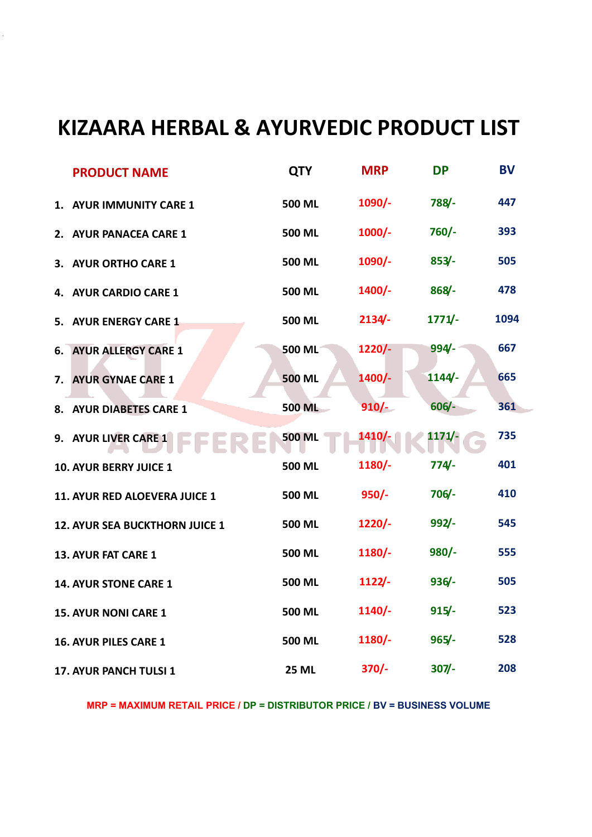## **KIZAARA HERBAL & AYURVEDIC PRODUCT LIST**

|    | <b>PRODUCT NAME</b>            | <b>QTY</b>    | <b>MRP</b> | <b>DP</b> | <b>BV</b> |
|----|--------------------------------|---------------|------------|-----------|-----------|
|    | 1. AYUR IMMUNITY CARE 1        | 500 ML        | $1090/-$   | 788/-     | 447       |
|    | 2. AYUR PANACEA CARE 1         | <b>500 ML</b> | $1000/-$   | $760/-$   | 393       |
|    | 3. AYUR ORTHO CARE 1           | <b>500 ML</b> | $1090/-$   | $853/-$   | 505       |
| 4. | <b>AYUR CARDIO CARE 1</b>      | <b>500 ML</b> | 1400/-     | $868/-$   | 478       |
|    | 5. AYUR ENERGY CARE 1          | <b>500 ML</b> | $2134/-$   | $1771/-$  | 1094      |
|    | <b>6. AYUR ALLERGY CARE 1</b>  | 500 ML        | $1220/-$   | $994 -$   | 667       |
| 7. | <b>AYUR GYNAE CARE 1</b>       | <b>500 ML</b> | $1400/-$   | 1144/     | 665       |
|    | 8. AYUR DIABETES CARE 1        | <b>500 ML</b> | $910/-$    | $606/-$   | 361       |
|    | 9. AYUR LIVER CARE 1           | <b>500 ML</b> | 1410/-     | $1171/-$  | 735       |
|    | <b>10. AYUR BERRY JUICE 1</b>  | <b>500 ML</b> | 1180/-     | $774/-$   | 401       |
|    | 11. AYUR RED ALOEVERA JUICE 1  | <b>500 ML</b> | $950/-$    | $706/-$   | 410       |
|    | 12. AYUR SEA BUCKTHORN JUICE 1 | 500 ML        | $1220/-$   | 992/      | 545       |
|    | 13. AYUR FAT CARE 1            | <b>500 ML</b> | $1180/-$   | $980/-$   | 555       |
|    | 14. AYUR STONE CARE 1          | 500 ML        | 1122/      | $936/-$   | 505       |
|    | <b>15. AYUR NONI CARE 1</b>    | 500 ML        | $1140/-$   | $915/-$   | 523       |
|    | 16. AYUR PILES CARE 1          | 500 ML        | $1180/-$   | $965/-$   | 528       |
|    | 17. AYUR PANCH TULSI 1         | <b>25 ML</b>  | $370/-$    | $307 -$   | 208       |

**MRP = MAXIMUM RETAIL PRICE / DP = DISTRIBUTOR PRICE / BV = BUSINESS VOLUME**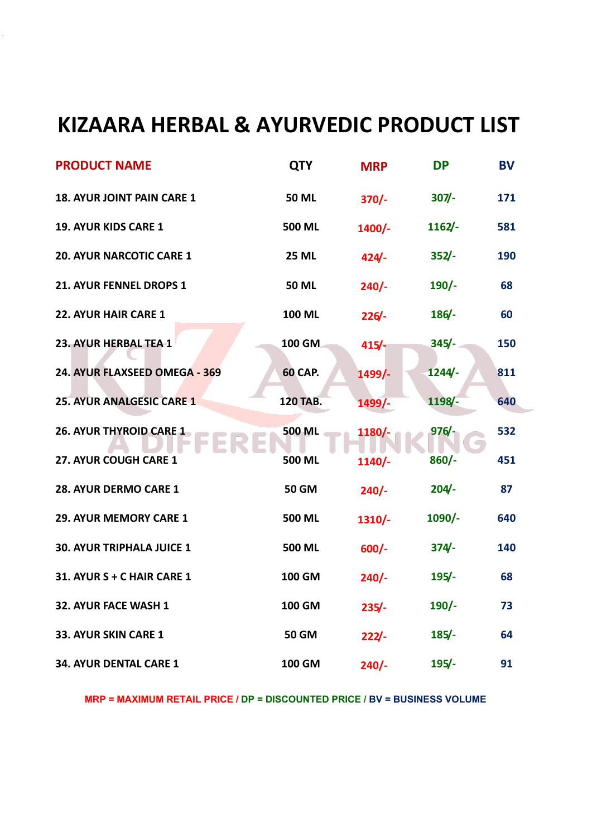## **KIZAARA HERBAL & AYURVEDIC PRODUCT LIST**

 $\ddot{\phantom{a}}$ 

| <b>PRODUCT NAME</b>              | <b>QTY</b>      | <b>MRP</b> | <b>DP</b> | <b>BV</b> |
|----------------------------------|-----------------|------------|-----------|-----------|
| 18. AYUR JOINT PAIN CARE 1       | <b>50 ML</b>    | $370/-$    | $307 -$   | 171       |
| 19. AYUR KIDS CARE 1             | <b>500 ML</b>   | $1400/-$   | $1162/-$  | 581       |
| <b>20. AYUR NARCOTIC CARE 1</b>  | <b>25 ML</b>    | $424 -$    | $352/-$   | 190       |
| 21. AYUR FENNEL DROPS 1          | <b>50 ML</b>    | $240/-$    | $190/-$   | 68        |
| 22. AYUR HAIR CARE 1             | 100 ML          | 226/       | 186/      | 60        |
| 23. AYUR HERBAL TEA-1            | 100 GM          | $415/-$    | $345/-$   | 150       |
| 24. AYUR FLAXSEED OMEGA - 369    | <b>60 CAP.</b>  | 1499/      | 1244/     | 811       |
| <b>25. AYUR ANALGESIC CARE 1</b> | <b>120 TAB.</b> | 1499/-     | 1198/-    | 640       |
| 26. AYUR THYROID CARE 1          | <b>500 ML</b>   | 1180/-     | 976/      | 532       |
| 27. AYUR COUGH CARE 1            | <b>500 ML</b>   | $1140/-$   | $860/-$   | 451       |
| 28. AYUR DERMO CARE 1            | <b>50 GM</b>    | $240/-$    | $204 -$   | 87        |
| 29. AYUR MEMORY CARE 1           | <b>500 ML</b>   | $1310/-$   | $1090/-$  | 640       |
| 30. AYUR TRIPHALA JUICE 1        | <b>500 ML</b>   | $600/-$    | $374/-$   | 140       |
| 31. AYUR S + C HAIR CARE 1       | 100 GM          | $240/-$    | $195/-$   | 68        |
| 32. AYUR FACE WASH 1             | <b>100 GM</b>   | $235/-$    | $190/-$   | 73        |
| 33. AYUR SKIN CARE 1             | <b>50 GM</b>    | 222/       | $185/-$   | 64        |
| 34. AYUR DENTAL CARE 1           | <b>100 GM</b>   | $240/-$    | $195/-$   | 91        |

**MRP = MAXIMUM RETAIL PRICE / DP = DISCOUNTED PRICE / BV = BUSINESS VOLUME**